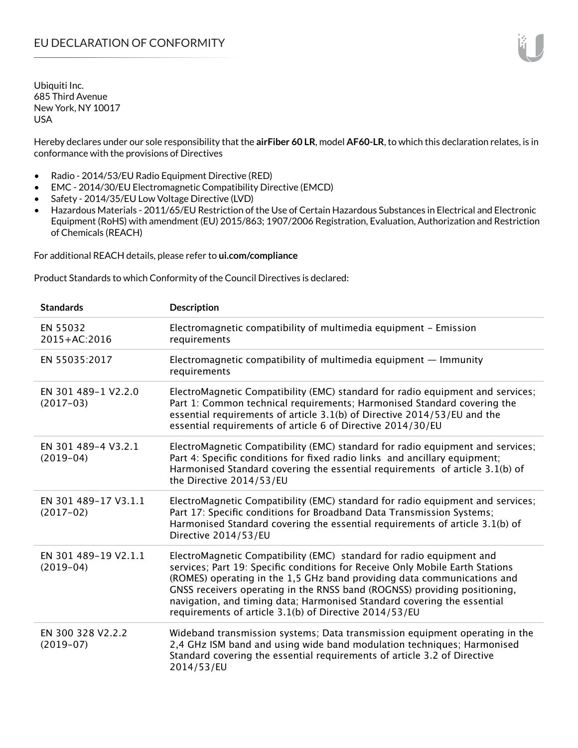Hereby declares under our sole responsibility that the **airFiber 60 LR**, model **AF60-LR**, to which this declaration relates, is in conformance with the provisions of Directives

- Radio 2014/53/EU Radio Equipment Directive (RED)
- EMC 2014/30/EU Electromagnetic Compatibility Directive (EMCD)
- Safety 2014/35/EU Low Voltage Directive (LVD)
- Hazardous Materials 2011/65/EU Restriction of the Use of Certain Hazardous Substances in Electrical and Electronic Equipment (RoHS) with amendment (EU) 2015/863; 1907/2006 Registration, Evaluation, Authorization and Restriction of Chemicals (REACH)

For additional REACH details, please refer to **ui.com/compliance**

Product Standards to which Conformity of the Council Directives is declared:

| <b>Standards</b>                    | <b>Description</b>                                                                                                                                                                                                                                                                                                                                                                                                                                 |
|-------------------------------------|----------------------------------------------------------------------------------------------------------------------------------------------------------------------------------------------------------------------------------------------------------------------------------------------------------------------------------------------------------------------------------------------------------------------------------------------------|
| EN 55032<br>2015+AC:2016            | Electromagnetic compatibility of multimedia equipment - Emission<br>requirements                                                                                                                                                                                                                                                                                                                                                                   |
| EN 55035:2017                       | Electromagnetic compatibility of multimedia equipment $-$ Immunity<br>requirements                                                                                                                                                                                                                                                                                                                                                                 |
| EN 301 489-1 V2.2.0<br>$(2017-03)$  | ElectroMagnetic Compatibility (EMC) standard for radio equipment and services;<br>Part 1: Common technical requirements; Harmonised Standard covering the<br>essential requirements of article 3.1(b) of Directive 2014/53/EU and the<br>essential requirements of article 6 of Directive 2014/30/EU                                                                                                                                               |
| EN 301 489-4 V3.2.1<br>$(2019-04)$  | ElectroMagnetic Compatibility (EMC) standard for radio equipment and services;<br>Part 4: Specific conditions for fixed radio links and ancillary equipment;<br>Harmonised Standard covering the essential requirements of article 3.1(b) of<br>the Directive 2014/53/EU                                                                                                                                                                           |
| EN 301 489-17 V3.1.1<br>$(2017-02)$ | ElectroMagnetic Compatibility (EMC) standard for radio equipment and services;<br>Part 17: Specific conditions for Broadband Data Transmission Systems;<br>Harmonised Standard covering the essential requirements of article 3.1(b) of<br>Directive 2014/53/EU                                                                                                                                                                                    |
| EN 301 489-19 V2.1.1<br>$(2019-04)$ | ElectroMagnetic Compatibility (EMC) standard for radio equipment and<br>services; Part 19: Specific conditions for Receive Only Mobile Earth Stations<br>(ROMES) operating in the 1,5 GHz band providing data communications and<br>GNSS receivers operating in the RNSS band (ROGNSS) providing positioning,<br>navigation, and timing data; Harmonised Standard covering the essential<br>requirements of article 3.1(b) of Directive 2014/53/EU |
| EN 300 328 V2.2.2<br>$(2019-07)$    | Wideband transmission systems; Data transmission equipment operating in the<br>2,4 GHz ISM band and using wide band modulation techniques; Harmonised<br>Standard covering the essential requirements of article 3.2 of Directive<br>2014/53/EU                                                                                                                                                                                                    |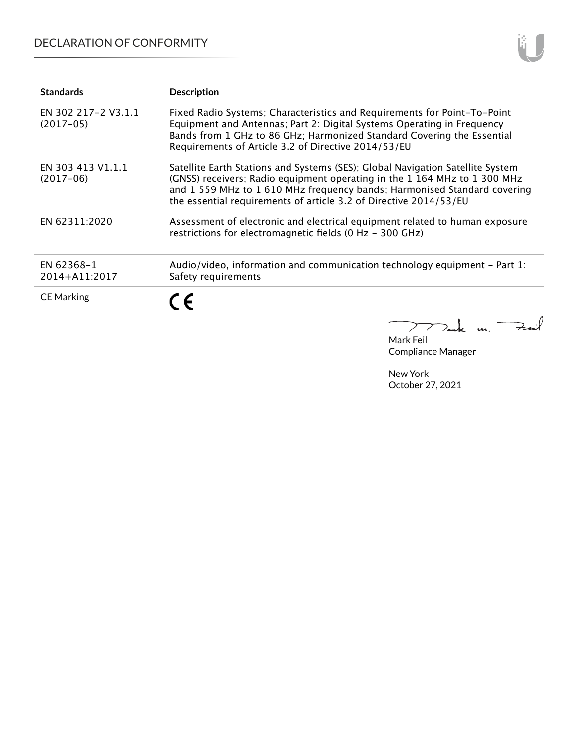## DECLARATION OF CONFORMITY

| <b>Standards</b>                   | <b>Description</b>                                                                                                                                                                                                                                                                                         |
|------------------------------------|------------------------------------------------------------------------------------------------------------------------------------------------------------------------------------------------------------------------------------------------------------------------------------------------------------|
| EN 302 217-2 V3.1.1<br>$(2017-05)$ | Fixed Radio Systems; Characteristics and Requirements for Point-To-Point<br>Equipment and Antennas; Part 2: Digital Systems Operating in Frequency<br>Bands from 1 GHz to 86 GHz; Harmonized Standard Covering the Essential<br>Requirements of Article 3.2 of Directive 2014/53/EU                        |
| EN 303 413 V1.1.1<br>$(2017-06)$   | Satellite Earth Stations and Systems (SES); Global Navigation Satellite System<br>(GNSS) receivers; Radio equipment operating in the 1 164 MHz to 1 300 MHz<br>and 1559 MHz to 1610 MHz frequency bands; Harmonised Standard covering<br>the essential requirements of article 3.2 of Directive 2014/53/EU |
| EN 62311:2020                      | Assessment of electronic and electrical equipment related to human exposure<br>restrictions for electromagnetic fields (0 Hz - 300 GHz)                                                                                                                                                                    |
| EN 62368-1<br>2014+A11:2017        | Audio/video, information and communication technology equipment – Part 1:<br>Safety requirements                                                                                                                                                                                                           |
| <b>CE Marking</b>                  | ( $\epsilon$                                                                                                                                                                                                                                                                                               |

Mark Feil Compliance Manager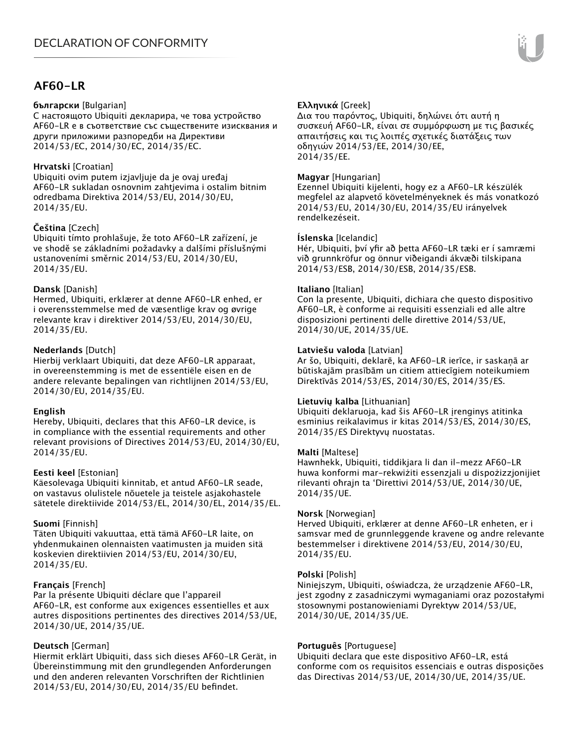## **AF60-LR**

#### **български** [Bulgarian]

С настоящото Ubiquiti декларира, че това устройство AF60-LR е в съответствие със съществените изисквания и други приложими разпоредби на Директиви 2014/53/EC, 2014/30/ЕС, 2014/35/ЕС.

## **Hrvatski** [Croatian]

Ubiquiti ovim putem izjavljuje da je ovaj uređaj AF60-LR sukladan osnovnim zahtjevima i ostalim bitnim odredbama Direktiva 2014/53/EU, 2014/30/EU, 2014/35/EU.

## **Čeština** [Czech]

Ubiquiti tímto prohlašuje, že toto AF60-LR zařízení, je ve shodě se základními požadavky a dalšími příslušnými ustanoveními směrnic 2014/53/EU, 2014/30/EU, 2014/35/EU.

## **Dansk** [Danish]

Hermed, Ubiquiti, erklærer at denne AF60-LR enhed, er i overensstemmelse med de væsentlige krav og øvrige relevante krav i direktiver 2014/53/EU, 2014/30/EU, 2014/35/EU.

## **Nederlands** [Dutch]

Hierbij verklaart Ubiquiti, dat deze AF60-LR apparaat, in overeenstemming is met de essentiële eisen en de andere relevante bepalingen van richtlijnen 2014/53/EU, 2014/30/EU, 2014/35/EU.

## **English**

Hereby, Ubiquiti, declares that this AF60-LR device, is in compliance with the essential requirements and other relevant provisions of Directives 2014/53/EU, 2014/30/EU, 2014/35/EU.

## **Eesti keel** [Estonian]

Käesolevaga Ubiquiti kinnitab, et antud AF60-LR seade, on vastavus olulistele nõuetele ja teistele asjakohastele sätetele direktiivide 2014/53/EL, 2014/30/EL, 2014/35/EL.

## **Suomi** [Finnish]

Täten Ubiquiti vakuuttaa, että tämä AF60-LR laite, on yhdenmukainen olennaisten vaatimusten ja muiden sitä koskevien direktiivien 2014/53/EU, 2014/30/EU, 2014/35/EU.

## **Français** [French]

Par la présente Ubiquiti déclare que l'appareil AF60-LR, est conforme aux exigences essentielles et aux autres dispositions pertinentes des directives 2014/53/UE, 2014/30/UE, 2014/35/UE.

## **Deutsch** [German]

Hiermit erklärt Ubiquiti, dass sich dieses AF60-LR Gerät, in Übereinstimmung mit den grundlegenden Anforderungen und den anderen relevanten Vorschriften der Richtlinien 2014/53/EU, 2014/30/EU, 2014/35/EU befindet.

## **Ελληνικά** [Greek]

Δια του παρόντος, Ubiquiti, δηλώνει ότι αυτή η συσκευή AF60-LR, είναι σε συμμόρφωση με τις βασικές απαιτήσεις και τις λοιπές σχετικές διατάξεις των οδηγιών 2014/53/EE, 2014/30/EE, 2014/35/EE.

## **Magyar** [Hungarian]

Ezennel Ubiquiti kijelenti, hogy ez a AF60-LR készülék megfelel az alapvető követelményeknek és más vonatkozó 2014/53/EU, 2014/30/EU, 2014/35/EU irányelvek rendelkezéseit.

## **Íslenska** [Icelandic]

Hér, Ubiquiti, því yfir að þetta AF60-LR tæki er í samræmi við grunnkröfur og önnur viðeigandi ákvæði tilskipana 2014/53/ESB, 2014/30/ESB, 2014/35/ESB.

## **Italiano** [Italian]

Con la presente, Ubiquiti, dichiara che questo dispositivo AF60-LR, è conforme ai requisiti essenziali ed alle altre disposizioni pertinenti delle direttive 2014/53/UE, 2014/30/UE, 2014/35/UE.

## **Latviešu valoda** [Latvian]

Ar šo, Ubiquiti, deklarē, ka AF60-LR ierīce, ir saskaņā ar būtiskajām prasībām un citiem attiecīgiem noteikumiem Direktīvās 2014/53/ES, 2014/30/ES, 2014/35/ES.

## **Lietuvių kalba** [Lithuanian]

Ubiquiti deklaruoja, kad šis AF60-LR įrenginys atitinka esminius reikalavimus ir kitas 2014/53/ES, 2014/30/ES, 2014/35/ES Direktyvų nuostatas.

## **Malti** [Maltese]

Hawnhekk, Ubiquiti, tiddikjara li dan il-mezz AF60-LR huwa konformi mar-rekwiżiti essenzjali u dispożizzjonijiet rilevanti oħrajn ta 'Direttivi 2014/53/UE, 2014/30/UE, 2014/35/UE.

## **Norsk** [Norwegian]

Herved Ubiquiti, erklærer at denne AF60-LR enheten, er i samsvar med de grunnleggende kravene og andre relevante bestemmelser i direktivene 2014/53/EU, 2014/30/EU, 2014/35/EU.

## **Polski** [Polish]

Niniejszym, Ubiquiti, oświadcza, że urządzenie AF60-LR, jest zgodny z zasadniczymi wymaganiami oraz pozostałymi stosownymi postanowieniami Dyrektyw 2014/53/UE, 2014/30/UE, 2014/35/UE.

## **Português** [Portuguese]

Ubiquiti declara que este dispositivo AF60-LR, está conforme com os requisitos essenciais e outras disposições das Directivas 2014/53/UE, 2014/30/UE, 2014/35/UE.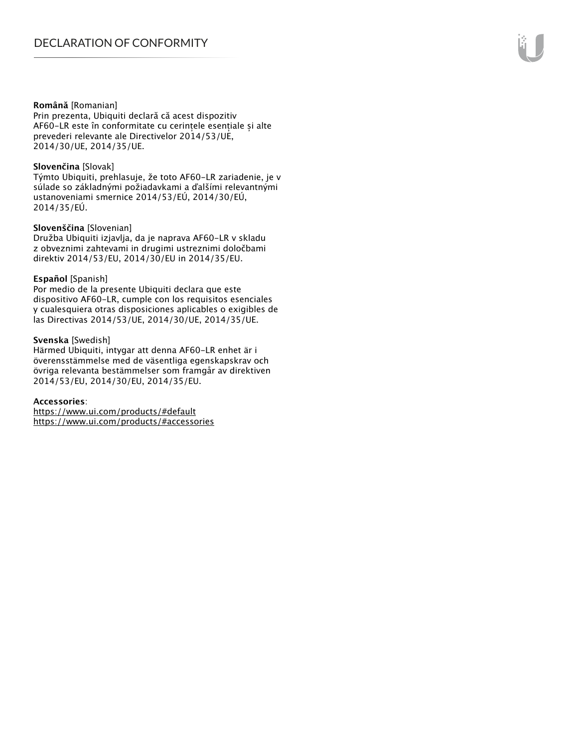#### **Română** [Romanian]

Prin prezenta, Ubiquiti declară că acest dispozitiv AF60-LR este în conformitate cu cerințele esențiale și alte prevederi relevante ale Directivelor 2014/53/UE, 2014/30/UE, 2014/35/UE.

#### **Slovenčina** [Slovak]

Týmto Ubiquiti, prehlasuje, že toto AF60-LR zariadenie, je v súlade so základnými požiadavkami a ďalšími relevantnými ustanoveniami smernice 2014/53/EÚ, 2014/30/EÚ, 2014/35/EÚ.

#### **Slovenščina** [Slovenian]

Družba Ubiquiti izjavlja, da je naprava AF60-LR v skladu z obveznimi zahtevami in drugimi ustreznimi določbami direktiv 2014/53/EU, 2014/30/EU in 2014/35/EU.

#### **Español** [Spanish]

Por medio de la presente Ubiquiti declara que este dispositivo AF60-LR, cumple con los requisitos esenciales y cualesquiera otras disposiciones aplicables o exigibles de las Directivas 2014/53/UE, 2014/30/UE, 2014/35/UE.

#### **Svenska** [Swedish]

Härmed Ubiquiti, intygar att denna AF60-LR enhet är i överensstämmelse med de väsentliga egenskapskrav och övriga relevanta bestämmelser som framgår av direktiven 2014/53/EU, 2014/30/EU, 2014/35/EU.

#### **Accessories**:

https://www.ui.com/products/#default https://www.ui.com/products/#accessories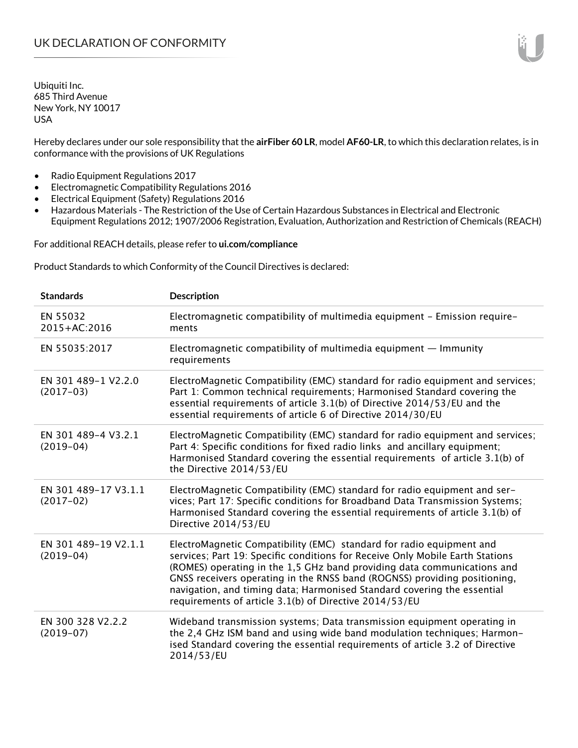Hereby declares under our sole responsibility that the **airFiber 60 LR**, model **AF60-LR**, to which this declaration relates, is in conformance with the provisions of UK Regulations

- Radio Equipment Regulations 2017
- Electromagnetic Compatibility Regulations 2016
- Electrical Equipment (Safety) Regulations 2016
- Hazardous Materials The Restriction of the Use of Certain Hazardous Substances in Electrical and Electronic Equipment Regulations 2012; 1907/2006 Registration, Evaluation, Authorization and Restriction of Chemicals (REACH)

For additional REACH details, please refer to **ui.com/compliance**

Product Standards to which Conformity of the Council Directives is declared:

| <b>Standards</b>                    | <b>Description</b>                                                                                                                                                                                                                                                                                                                                                                                                                                 |
|-------------------------------------|----------------------------------------------------------------------------------------------------------------------------------------------------------------------------------------------------------------------------------------------------------------------------------------------------------------------------------------------------------------------------------------------------------------------------------------------------|
| EN 55032<br>2015+AC:2016            | Electromagnetic compatibility of multimedia equipment - Emission require-<br>ments                                                                                                                                                                                                                                                                                                                                                                 |
| EN 55035:2017                       | Electromagnetic compatibility of multimedia equipment $-$ Immunity<br>requirements                                                                                                                                                                                                                                                                                                                                                                 |
| EN 301 489-1 V2.2.0<br>$(2017-03)$  | ElectroMagnetic Compatibility (EMC) standard for radio equipment and services;<br>Part 1: Common technical requirements; Harmonised Standard covering the<br>essential requirements of article 3.1(b) of Directive 2014/53/EU and the<br>essential requirements of article 6 of Directive 2014/30/EU                                                                                                                                               |
| EN 301 489-4 V3.2.1<br>$(2019-04)$  | ElectroMagnetic Compatibility (EMC) standard for radio equipment and services;<br>Part 4: Specific conditions for fixed radio links and ancillary equipment;<br>Harmonised Standard covering the essential requirements of article 3.1(b) of<br>the Directive 2014/53/EU                                                                                                                                                                           |
| EN 301 489-17 V3.1.1<br>$(2017-02)$ | ElectroMagnetic Compatibility (EMC) standard for radio equipment and ser-<br>vices; Part 17: Specific conditions for Broadband Data Transmission Systems;<br>Harmonised Standard covering the essential requirements of article 3.1(b) of<br>Directive 2014/53/EU                                                                                                                                                                                  |
| EN 301 489-19 V2.1.1<br>$(2019-04)$ | ElectroMagnetic Compatibility (EMC) standard for radio equipment and<br>services; Part 19: Specific conditions for Receive Only Mobile Earth Stations<br>(ROMES) operating in the 1,5 GHz band providing data communications and<br>GNSS receivers operating in the RNSS band (ROGNSS) providing positioning,<br>navigation, and timing data; Harmonised Standard covering the essential<br>requirements of article 3.1(b) of Directive 2014/53/EU |
| EN 300 328 V2.2.2<br>$(2019-07)$    | Wideband transmission systems; Data transmission equipment operating in<br>the 2,4 GHz ISM band and using wide band modulation techniques; Harmon-<br>ised Standard covering the essential requirements of article 3.2 of Directive<br>2014/53/EU                                                                                                                                                                                                  |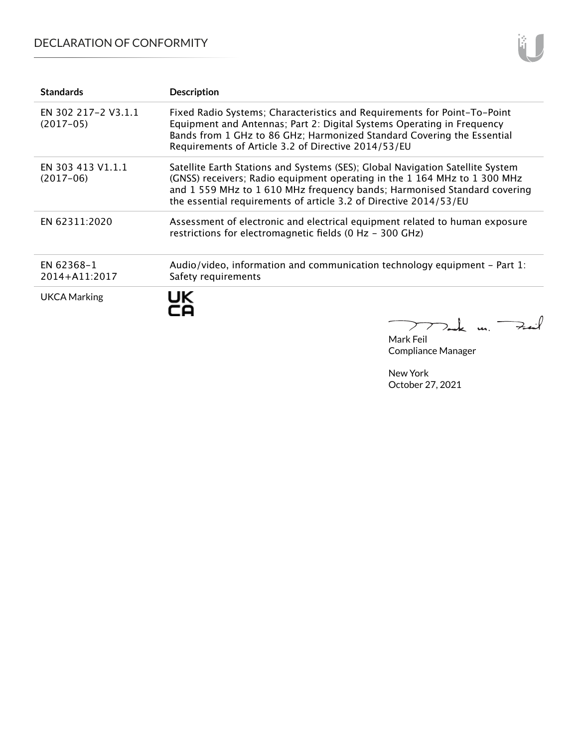## DECLARATION OF CONFORMITY

| <b>Standards</b>                   | <b>Description</b>                                                                                                                                                                                                                                                                                           |
|------------------------------------|--------------------------------------------------------------------------------------------------------------------------------------------------------------------------------------------------------------------------------------------------------------------------------------------------------------|
| EN 302 217-2 V3.1.1<br>$(2017-05)$ | Fixed Radio Systems; Characteristics and Requirements for Point-To-Point<br>Equipment and Antennas; Part 2: Digital Systems Operating in Frequency<br>Bands from 1 GHz to 86 GHz; Harmonized Standard Covering the Essential<br>Requirements of Article 3.2 of Directive 2014/53/EU                          |
| EN 303 413 V1.1.1<br>$(2017-06)$   | Satellite Earth Stations and Systems (SES); Global Navigation Satellite System<br>(GNSS) receivers; Radio equipment operating in the 1 164 MHz to 1 300 MHz<br>and 1 559 MHz to 1 610 MHz frequency bands; Harmonised Standard covering<br>the essential requirements of article 3.2 of Directive 2014/53/EU |
| EN 62311:2020                      | Assessment of electronic and electrical equipment related to human exposure<br>restrictions for electromagnetic fields (0 Hz - 300 GHz)                                                                                                                                                                      |
| EN 62368-1<br>2014+A11:2017        | Audio/video, information and communication technology equipment - Part 1:<br>Safety requirements                                                                                                                                                                                                             |
| UKCA Marking                       | UK                                                                                                                                                                                                                                                                                                           |

Mark Feil Compliance Manager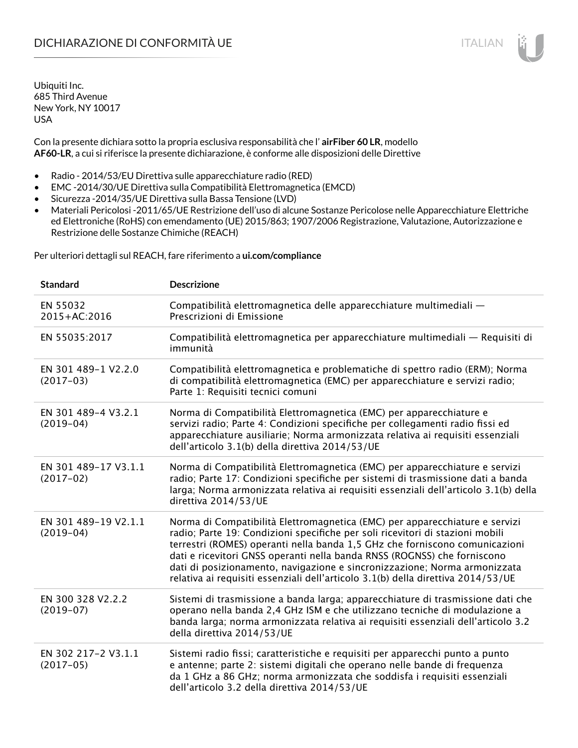Con la presente dichiara sotto la propria esclusiva responsabilità che l' **airFiber 60 LR**, modello **AF60-LR**, a cui si riferisce la presente dichiarazione, è conforme alle disposizioni delle Direttive

- Radio 2014/53/EU Direttiva sulle apparecchiature radio (RED)
- EMC -2014/30/UE Direttiva sulla Compatibilità Elettromagnetica (EMCD)
- Sicurezza -2014/35/UE Direttiva sulla Bassa Tensione (LVD)
- Materiali Pericolosi -2011/65/UE Restrizione dell'uso di alcune Sostanze Pericolose nelle Apparecchiature Elettriche ed Elettroniche (RoHS) con emendamento (UE) 2015/863; 1907/2006 Registrazione, Valutazione, Autorizzazione e Restrizione delle Sostanze Chimiche (REACH)

Per ulteriori dettagli sul REACH, fare riferimento a **ui.com/compliance**

| <b>Standard</b>                      | <b>Descrizione</b>                                                                                                                                                                                                                                                                                                                                                                                                                                                                       |
|--------------------------------------|------------------------------------------------------------------------------------------------------------------------------------------------------------------------------------------------------------------------------------------------------------------------------------------------------------------------------------------------------------------------------------------------------------------------------------------------------------------------------------------|
| EN 55032<br>2015+AC:2016             | Compatibilità elettromagnetica delle apparecchiature multimediali -<br>Prescrizioni di Emissione                                                                                                                                                                                                                                                                                                                                                                                         |
| EN 55035:2017                        | Compatibilità elettromagnetica per apparecchiature multimediali — Requisiti di<br>immunità                                                                                                                                                                                                                                                                                                                                                                                               |
| EN 301 489-1 V2.2.0<br>$(2017-03)$   | Compatibilità elettromagnetica e problematiche di spettro radio (ERM); Norma<br>di compatibilità elettromagnetica (EMC) per apparecchiature e servizi radio;<br>Parte 1: Requisiti tecnici comuni                                                                                                                                                                                                                                                                                        |
| EN 301 489-4 V3.2.1<br>$(2019-04)$   | Norma di Compatibilità Elettromagnetica (EMC) per apparecchiature e<br>servizi radio; Parte 4: Condizioni specifiche per collegamenti radio fissi ed<br>apparecchiature ausiliarie; Norma armonizzata relativa ai requisiti essenziali<br>dell'articolo 3.1(b) della direttiva 2014/53/UE                                                                                                                                                                                                |
| EN 301 489-17 V3.1.1<br>$(2017-02)$  | Norma di Compatibilità Elettromagnetica (EMC) per apparecchiature e servizi<br>radio; Parte 17: Condizioni specifiche per sistemi di trasmissione dati a banda<br>larga; Norma armonizzata relativa ai requisiti essenziali dell'articolo 3.1(b) della<br>direttiva 2014/53/UE                                                                                                                                                                                                           |
| EN 301 489-19 V2.1.1<br>$(2019-04)$  | Norma di Compatibilità Elettromagnetica (EMC) per apparecchiature e servizi<br>radio; Parte 19: Condizioni specifiche per soli ricevitori di stazioni mobili<br>terrestri (ROMES) operanti nella banda 1,5 GHz che forniscono comunicazioni<br>dati e ricevitori GNSS operanti nella banda RNSS (ROGNSS) che forniscono<br>dati di posizionamento, navigazione e sincronizzazione; Norma armonizzata<br>relativa ai requisiti essenziali dell'articolo 3.1(b) della direttiva 2014/53/UE |
| EN 300 328 V2.2.2<br>$(2019-07)$     | Sistemi di trasmissione a banda larga; apparecchiature di trasmissione dati che<br>operano nella banda 2,4 GHz ISM e che utilizzano tecniche di modulazione a<br>banda larga; norma armonizzata relativa ai requisiti essenziali dell'articolo 3.2<br>della direttiva 2014/53/UE                                                                                                                                                                                                         |
| EN 302 217-2 V3.1.1<br>$(2017 - 05)$ | Sistemi radio fissi; caratteristiche e requisiti per apparecchi punto a punto<br>e antenne; parte 2: sistemi digitali che operano nelle bande di frequenza<br>da 1 GHz a 86 GHz; norma armonizzata che soddisfa i requisiti essenziali<br>dell'articolo 3.2 della direttiva 2014/53/UE                                                                                                                                                                                                   |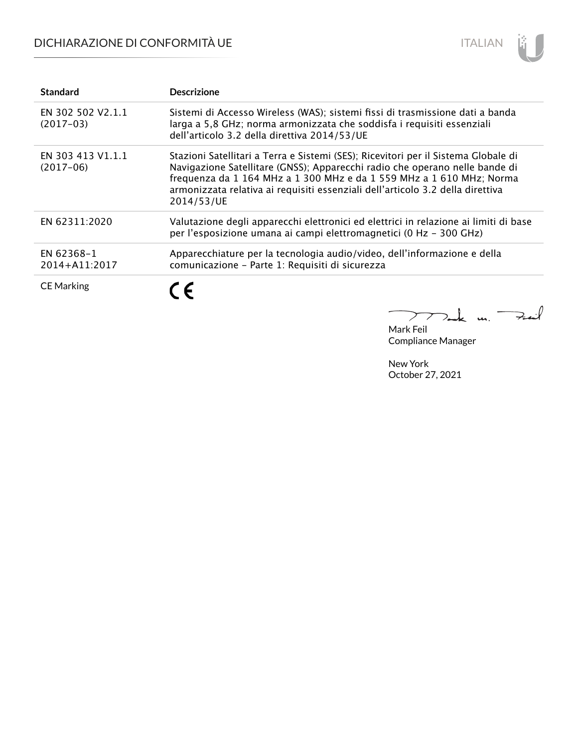# DICHIARAZIONE DI CONFORMITÀ UE



| <b>Standard</b>                  | <b>Descrizione</b>                                                                                                                                                                                                                                                                                                                        |
|----------------------------------|-------------------------------------------------------------------------------------------------------------------------------------------------------------------------------------------------------------------------------------------------------------------------------------------------------------------------------------------|
| EN 302 502 V2.1.1<br>$(2017-03)$ | Sistemi di Accesso Wireless (WAS); sistemi fissi di trasmissione dati a banda<br>larga a 5,8 GHz; norma armonizzata che soddisfa i requisiti essenziali<br>dell'articolo 3.2 della direttiva 2014/53/UE                                                                                                                                   |
| EN 303 413 V1.1.1<br>$(2017-06)$ | Stazioni Satellitari a Terra e Sistemi (SES); Ricevitori per il Sistema Globale di<br>Navigazione Satellitare (GNSS); Apparecchi radio che operano nelle bande di<br>frequenza da 1 164 MHz a 1 300 MHz e da 1 559 MHz a 1 610 MHz; Norma<br>armonizzata relativa ai requisiti essenziali dell'articolo 3.2 della direttiva<br>2014/53/UE |
| EN 62311:2020                    | Valutazione degli apparecchi elettronici ed elettrici in relazione ai limiti di base<br>per l'esposizione umana ai campi elettromagnetici (0 Hz - 300 GHz)                                                                                                                                                                                |
| EN 62368-1<br>2014+A11:2017      | Apparecchiature per la tecnologia audio/video, dell'informazione e della<br>comunicazione - Parte 1: Requisiti di sicurezza                                                                                                                                                                                                               |
| <b>CE Marking</b>                | C E                                                                                                                                                                                                                                                                                                                                       |
|                                  |                                                                                                                                                                                                                                                                                                                                           |

Mark Feil Compliance Manager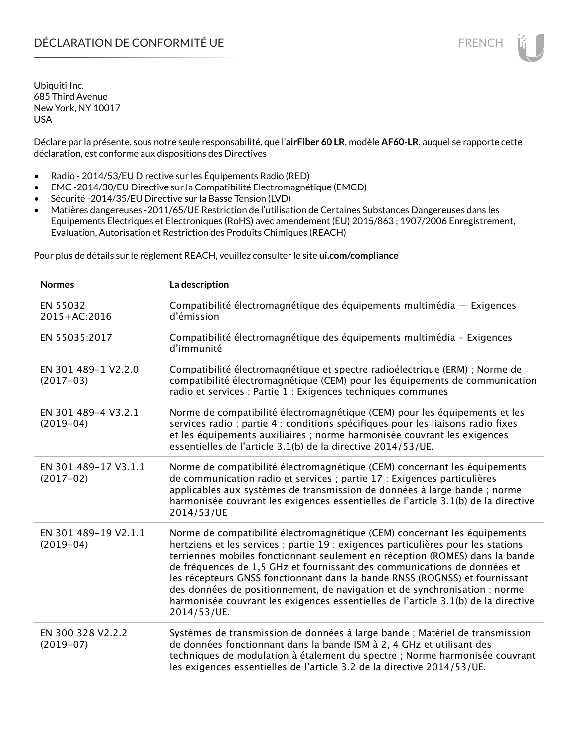Déclare par la présente, sous notre seule responsabilité, que l'**airFiber 60 LR**, modèle **AF60-LR**, auquel se rapporte cette déclaration, est conforme aux dispositions des Directives

- Radio 2014/53/EU Directive sur les Équipements Radio (RED)
- EMC -2014/30/EU Directive sur la Compatibilité Electromagnétique (EMCD)
- Sécurité -2014/35/EU Directive sur la Basse Tension (LVD)
- Matières dangereuses -2011/65/UE Restriction de l'utilisation de Certaines Substances Dangereuses dans les Equipements Electriques et Electroniques (RoHS) avec amendement (EU) 2015/863 ; 1907/2006 Enregistrement, Evaluation, Autorisation et Restriction des Produits Chimiques (REACH)

Pour plus de détails sur le règlement REACH, veuillez consulter le site **ui.com/compliance**

| <b>Normes</b>                       | La description                                                                                                                                                                                                                                                                                                                                                                                                                                                                                                                                                                               |
|-------------------------------------|----------------------------------------------------------------------------------------------------------------------------------------------------------------------------------------------------------------------------------------------------------------------------------------------------------------------------------------------------------------------------------------------------------------------------------------------------------------------------------------------------------------------------------------------------------------------------------------------|
| EN 55032<br>2015+AC:2016            | Compatibilité électromagnétique des équipements multimédia — Exigences<br>d'émission                                                                                                                                                                                                                                                                                                                                                                                                                                                                                                         |
| EN 55035:2017                       | Compatibilité électromagnétique des équipements multimédia - Exigences<br>d'immunité                                                                                                                                                                                                                                                                                                                                                                                                                                                                                                         |
| EN 301 489-1 V2.2.0<br>$(2017-03)$  | Compatibilité électromagnétique et spectre radioélectrique (ERM) ; Norme de<br>compatibilité électromagnétique (CEM) pour les équipements de communication<br>radio et services ; Partie 1 : Exigences techniques communes                                                                                                                                                                                                                                                                                                                                                                   |
| EN 301 489-4 V3.2.1<br>$(2019-04)$  | Norme de compatibilité électromagnétique (CEM) pour les équipements et les<br>services radio ; partie 4 : conditions spécifiques pour les liaisons radio fixes<br>et les équipements auxiliaires ; norme harmonisée couvrant les exigences<br>essentielles de l'article 3.1(b) de la directive 2014/53/UE.                                                                                                                                                                                                                                                                                   |
| EN 301 489-17 V3.1.1<br>$(2017-02)$ | Norme de compatibilité électromagnétique (CEM) concernant les équipements<br>de communication radio et services ; partie 17 : Exigences particulières<br>applicables aux systèmes de transmission de données à large bande ; norme<br>harmonisée couvrant les exigences essentielles de l'article 3.1(b) de la directive<br>2014/53/UE                                                                                                                                                                                                                                                       |
| EN 301 489-19 V2.1.1<br>$(2019-04)$ | Norme de compatibilité électromagnétique (CEM) concernant les équipements<br>hertziens et les services ; partie 19 : exigences particulières pour les stations<br>terriennes mobiles fonctionnant seulement en réception (ROMES) dans la bande<br>de fréquences de 1,5 GHz et fournissant des communications de données et<br>les récepteurs GNSS fonctionnant dans la bande RNSS (ROGNSS) et fournissant<br>des données de positionnement, de navigation et de synchronisation ; norme<br>harmonisée couvrant les exigences essentielles de l'article 3.1(b) de la directive<br>2014/53/UE. |
| EN 300 328 V2.2.2<br>$(2019-07)$    | Systèmes de transmission de données à large bande ; Matériel de transmission<br>de données fonctionnant dans la bande ISM à 2, 4 GHz et utilisant des<br>techniques de modulation à étalement du spectre ; Norme harmonisée couvrant<br>les exigences essentielles de l'article 3.2 de la directive 2014/53/UE.                                                                                                                                                                                                                                                                              |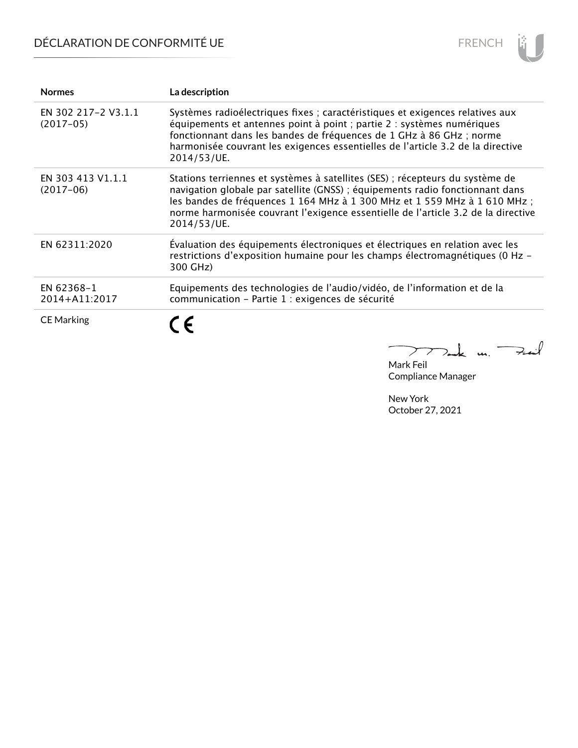# DÉCLARATION DE CONFORMITÉ UE



| <b>Normes</b>                      | La description                                                                                                                                                                                                                                                                                                                                 |
|------------------------------------|------------------------------------------------------------------------------------------------------------------------------------------------------------------------------------------------------------------------------------------------------------------------------------------------------------------------------------------------|
| EN 302 217-2 V3.1.1<br>$(2017-05)$ | Systèmes radioélectriques fixes ; caractéristiques et exigences relatives aux<br>équipements et antennes point à point ; partie 2 : systèmes numériques<br>fonctionnant dans les bandes de fréquences de 1 GHz à 86 GHz ; norme<br>harmonisée couvrant les exigences essentielles de l'article 3.2 de la directive<br>2014/53/UE.              |
| EN 303 413 V1.1.1<br>$(2017-06)$   | Stations terriennes et systèmes à satellites (SES) ; récepteurs du système de<br>navigation globale par satellite (GNSS) ; équipements radio fonctionnant dans<br>les bandes de fréquences 1 164 MHz à 1 300 MHz et 1 559 MHz à 1 610 MHz;<br>norme harmonisée couvrant l'exigence essentielle de l'article 3.2 de la directive<br>2014/53/UE. |
| EN 62311:2020                      | Évaluation des équipements électroniques et électriques en relation avec les<br>restrictions d'exposition humaine pour les champs électromagnétiques (0 Hz -<br>300 GHz)                                                                                                                                                                       |
| EN 62368-1<br>2014+A11:2017        | Equipements des technologies de l'audio/vidéo, de l'information et de la<br>communication - Partie 1 : exigences de sécurité                                                                                                                                                                                                                   |
| <b>CE Marking</b>                  | ( F                                                                                                                                                                                                                                                                                                                                            |
|                                    |                                                                                                                                                                                                                                                                                                                                                |

Mark Feil Compliance Manager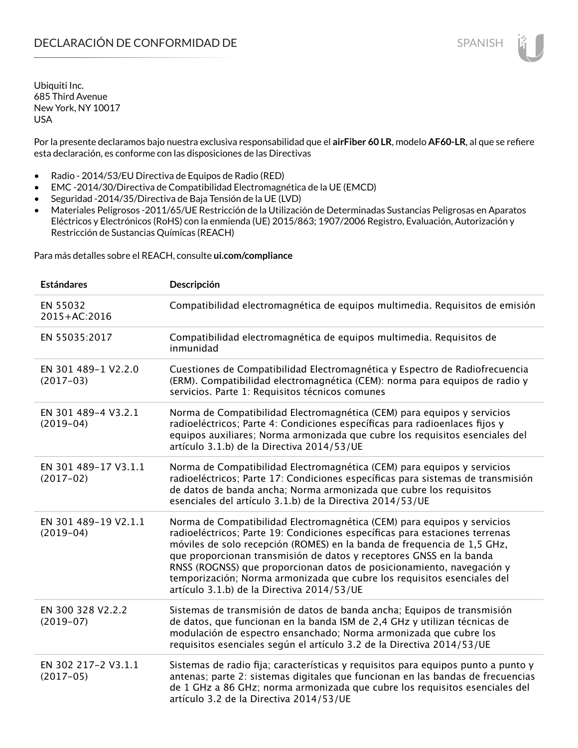Por la presente declaramos bajo nuestra exclusiva responsabilidad que el **airFiber 60 LR**, modelo **AF60-LR**, al que se refiere esta declaración, es conforme con las disposiciones de las Directivas

- Radio 2014/53/EU Directiva de Equipos de Radio (RED)
- EMC -2014/30/Directiva de Compatibilidad Electromagnética de la UE (EMCD)
- Seguridad -2014/35/Directiva de Baja Tensión de la UE (LVD)
- Materiales Peligrosos -2011/65/UE Restricción de la Utilización de Determinadas Sustancias Peligrosas en Aparatos Eléctricos y Electrónicos (RoHS) con la enmienda (UE) 2015/863; 1907/2006 Registro, Evaluación, Autorización y Restricción de Sustancias Químicas (REACH)

Para más detalles sobre el REACH, consulte **ui.com/compliance**

| <b>Estándares</b>                   | Descripción                                                                                                                                                                                                                                                                                                                                                                                                                                                                                                |
|-------------------------------------|------------------------------------------------------------------------------------------------------------------------------------------------------------------------------------------------------------------------------------------------------------------------------------------------------------------------------------------------------------------------------------------------------------------------------------------------------------------------------------------------------------|
| EN 55032<br>2015+AC:2016            | Compatibilidad electromagnética de equipos multimedia. Requisitos de emisión                                                                                                                                                                                                                                                                                                                                                                                                                               |
| EN 55035:2017                       | Compatibilidad electromagnética de equipos multimedia. Requisitos de<br>inmunidad                                                                                                                                                                                                                                                                                                                                                                                                                          |
| EN 301 489-1 V2.2.0<br>$(2017-03)$  | Cuestiones de Compatibilidad Electromagnética y Espectro de Radiofrecuencia<br>(ERM). Compatibilidad electromagnética (CEM): norma para equipos de radio y<br>servicios. Parte 1: Requisitos técnicos comunes                                                                                                                                                                                                                                                                                              |
| EN 301 489-4 V3.2.1<br>$(2019-04)$  | Norma de Compatibilidad Electromagnética (CEM) para equipos y servicios<br>radioeléctricos; Parte 4: Condiciones específicas para radioenlaces fijos y<br>equipos auxiliares; Norma armonizada que cubre los requisitos esenciales del<br>artículo 3.1.b) de la Directiva 2014/53/UE                                                                                                                                                                                                                       |
| EN 301 489-17 V3.1.1<br>$(2017-02)$ | Norma de Compatibilidad Electromagnética (CEM) para equipos y servicios<br>radioeléctricos; Parte 17: Condiciones específicas para sistemas de transmisión<br>de datos de banda ancha; Norma armonizada que cubre los requisitos<br>esenciales del artículo 3.1.b) de la Directiva 2014/53/UE                                                                                                                                                                                                              |
| EN 301 489-19 V2.1.1<br>$(2019-04)$ | Norma de Compatibilidad Electromagnética (CEM) para equipos y servicios<br>radioeléctricos; Parte 19: Condiciones específicas para estaciones terrenas<br>móviles de solo recepción (ROMES) en la banda de frequencia de 1,5 GHz,<br>que proporcionan transmisión de datos y receptores GNSS en la banda<br>RNSS (ROGNSS) que proporcionan datos de posicionamiento, navegación y<br>temporización; Norma armonizada que cubre los requisitos esenciales del<br>artículo 3.1.b) de la Directiva 2014/53/UE |
| EN 300 328 V2.2.2<br>$(2019-07)$    | Sistemas de transmisión de datos de banda ancha; Equipos de transmisión<br>de datos, que funcionan en la banda ISM de 2,4 GHz y utilizan técnicas de<br>modulación de espectro ensanchado; Norma armonizada que cubre los<br>requisitos esenciales según el artículo 3.2 de la Directiva 2014/53/UE                                                                                                                                                                                                        |
| EN 302 217-2 V3.1.1<br>$(2017-05)$  | Sistemas de radio fija; características y requisitos para equipos punto a punto y<br>antenas; parte 2: sistemas digitales que funcionan en las bandas de frecuencias<br>de 1 GHz a 86 GHz; norma armonizada que cubre los requisitos esenciales del<br>artículo 3.2 de la Directiva 2014/53/UE                                                                                                                                                                                                             |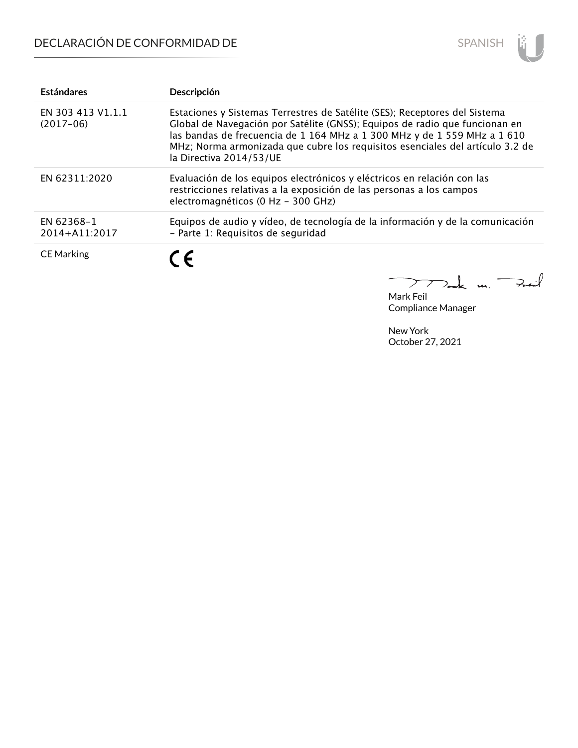

| <b>Estándares</b>                | Descripción                                                                                                                                                                                                                                                                                                                                       |
|----------------------------------|---------------------------------------------------------------------------------------------------------------------------------------------------------------------------------------------------------------------------------------------------------------------------------------------------------------------------------------------------|
| EN 303 413 V1.1.1<br>$(2017-06)$ | Estaciones y Sistemas Terrestres de Satélite (SES); Receptores del Sistema<br>Global de Navegación por Satélite (GNSS); Equipos de radio que funcionan en<br>las bandas de frecuencia de 1 164 MHz a 1 300 MHz y de 1 559 MHz a 1 610<br>MHz; Norma armonizada que cubre los requisitos esenciales del artículo 3.2 de<br>la Directiva 2014/53/UE |
| EN 62311:2020                    | Evaluación de los equipos electrónicos y eléctricos en relación con las<br>restricciones relativas a la exposición de las personas a los campos<br>electromagnéticos (0 Hz - 300 GHz)                                                                                                                                                             |
| EN 62368-1<br>2014+A11:2017      | Equipos de audio y vídeo, de tecnología de la información y de la comunicación<br>- Parte 1: Requisitos de sequridad                                                                                                                                                                                                                              |
| <b>CE Marking</b>                | $\epsilon$                                                                                                                                                                                                                                                                                                                                        |

Tak m. Fail  $\searrow$ 

Mark Feil Compliance Manager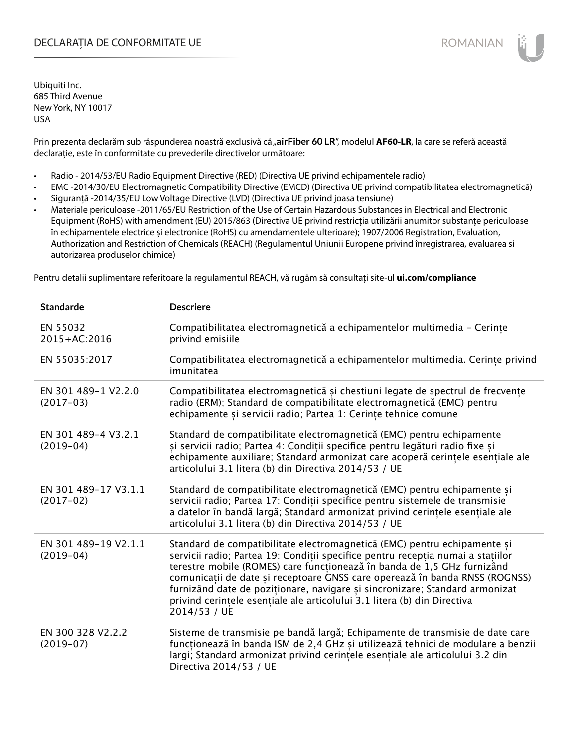## DECLARAȚIA DE CONFORMITATE UE EXECUTE DE ROMANIAN

Ubiquiti Inc. 685 Third Avenue New York, NY 10017 USA

Prin prezenta declarăm sub răspunderea noastră exclusivă că "airFiber 60 LR", modelul AF60-LR, la care se referă această declarație, este în conformitate cu prevederile directivelor următoare:

- Radio 2014/53/EU Radio Equipment Directive (RED) (Directiva UE privind echipamentele radio)
- EMC -2014/30/EU Electromagnetic Compatibility Directive (EMCD) (Directiva UE privind compatibilitatea electromagnetică)
- Siguranță -2014/35/EU Low Voltage Directive (LVD) (Directiva UE privind joasa tensiune)
- Materiale periculoase -2011/65/EU Restriction of the Use of Certain Hazardous Substances in Electrical and Electronic Equipment (RoHS) with amendment (EU) 2015/863 (Directiva UE privind restricția utilizării anumitor substanțe periculoase în echipamentele electrice și electronice (RoHS) cu amendamentele ulterioare); 1907/2006 Registration, Evaluation, Authorization and Restriction of Chemicals (REACH) (Regulamentul Uniunii Europene privind înregistrarea, evaluarea si autorizarea produselor chimice)

Pentru detalii suplimentare referitoare la regulamentul REACH, vă rugăm să consultați site-ul **ui.com/compliance**

| <b>Standarde</b>                    | <b>Descriere</b>                                                                                                                                                                                                                                                                                                                                                                                                                                                                                 |
|-------------------------------------|--------------------------------------------------------------------------------------------------------------------------------------------------------------------------------------------------------------------------------------------------------------------------------------------------------------------------------------------------------------------------------------------------------------------------------------------------------------------------------------------------|
| EN 55032<br>2015+AC:2016            | Compatibilitatea electromagnetică a echipamentelor multimedia - Cerințe<br>privind emisiile                                                                                                                                                                                                                                                                                                                                                                                                      |
| EN 55035:2017                       | Compatibilitatea electromagnetică a echipamentelor multimedia. Cerințe privind<br>imunitatea                                                                                                                                                                                                                                                                                                                                                                                                     |
| EN 301 489-1 V2.2.0<br>$(2017-03)$  | Compatibilitatea electromagnetică și chestiuni legate de spectrul de frecvențe<br>radio (ERM); Standard de compatibilitate electromagnetică (EMC) pentru<br>echipamente și servicii radio; Partea 1: Cerințe tehnice comune                                                                                                                                                                                                                                                                      |
| EN 301 489-4 V3.2.1<br>$(2019-04)$  | Standard de compatibilitate electromagnetică (EMC) pentru echipamente<br>și servicii radio; Partea 4: Condiții specifice pentru legături radio fixe și<br>echipamente auxiliare; Standard armonizat care acoperă cerințele esențiale ale<br>articolului 3.1 litera (b) din Directiva 2014/53 / UE                                                                                                                                                                                                |
| EN 301 489-17 V3.1.1<br>$(2017-02)$ | Standard de compatibilitate electromagnetică (EMC) pentru echipamente și<br>servicii radio; Partea 17: Condiții specifice pentru sistemele de transmisie<br>a datelor în bandă largă; Standard armonizat privind cerințele esențiale ale<br>articolului 3.1 litera (b) din Directiva 2014/53 / UE                                                                                                                                                                                                |
| EN 301 489-19 V2.1.1<br>$(2019-04)$ | Standard de compatibilitate electromagnetică (EMC) pentru echipamente și<br>servicii radio; Partea 19: Condiții specifice pentru recepția numai a stațiilor<br>terestre mobile (ROMES) care funcționează în banda de 1,5 GHz furnizând<br>comunicații de date și receptoare GNSS care operează în banda RNSS (ROGNSS)<br>furnizând date de poziționare, navigare și sincronizare; Standard armonizat<br>privind cerintele esentiale ale articolului 3.1 litera (b) din Directiva<br>2014/53 / UE |
| EN 300 328 V2.2.2<br>$(2019-07)$    | Sisteme de transmisie pe bandă largă; Echipamente de transmisie de date care<br>funcționează în banda ISM de 2,4 GHz și utilizează tehnici de modulare a benzii<br>largi; Standard armonizat privind cerințele esențiale ale articolului 3.2 din<br>Directiva 2014/53 / UE                                                                                                                                                                                                                       |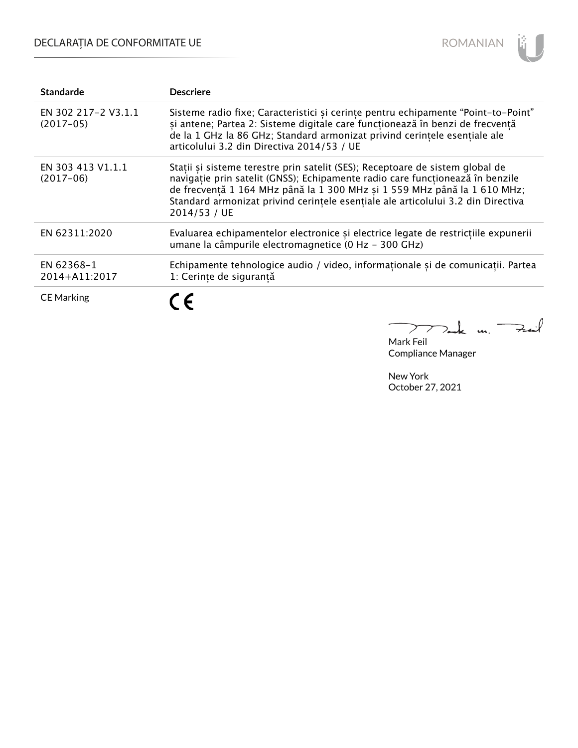# DECLARAȚIA DE CONFORMITATE UE



| <b>Standarde</b>                   | <b>Descriere</b>                                                                                                                                                                                                                                                                                                                               |
|------------------------------------|------------------------------------------------------------------------------------------------------------------------------------------------------------------------------------------------------------------------------------------------------------------------------------------------------------------------------------------------|
| EN 302 217-2 V3.1.1<br>$(2017-05)$ | Sisteme radio fixe; Caracteristici și cerințe pentru echipamente "Point-to-Point"<br>și antene; Partea 2: Sisteme digitale care funcționează în benzi de frecvență<br>de la 1 GHz la 86 GHz; Standard armonizat privind cerintele esentiale ale<br>articolului 3.2 din Directiva 2014/53 / UE                                                  |
| EN 303 413 V1.1.1<br>$(2017-06)$   | Stații și sisteme terestre prin satelit (SES); Receptoare de sistem global de<br>navigație prin satelit (GNSS); Echipamente radio care funcționează în benzile<br>de frecvență 1 164 MHz până la 1 300 MHz și 1 559 MHz până la 1 610 MHz;<br>Standard armonizat privind cerintele esențiale ale articolului 3.2 din Directiva<br>2014/53 / UE |
| EN 62311:2020                      | Evaluarea echipamentelor electronice și electrice legate de restricțiile expunerii<br>umane la câmpurile electromagnetice (0 Hz - 300 GHz)                                                                                                                                                                                                     |
| EN 62368-1<br>2014+A11:2017        | Echipamente tehnologice audio / video, informaționale și de comunicații. Partea<br>1: Cerințe de siguranță                                                                                                                                                                                                                                     |
| <b>CE Marking</b>                  |                                                                                                                                                                                                                                                                                                                                                |

m. Fail  $\sum$ 

Mark Feil Compliance Manager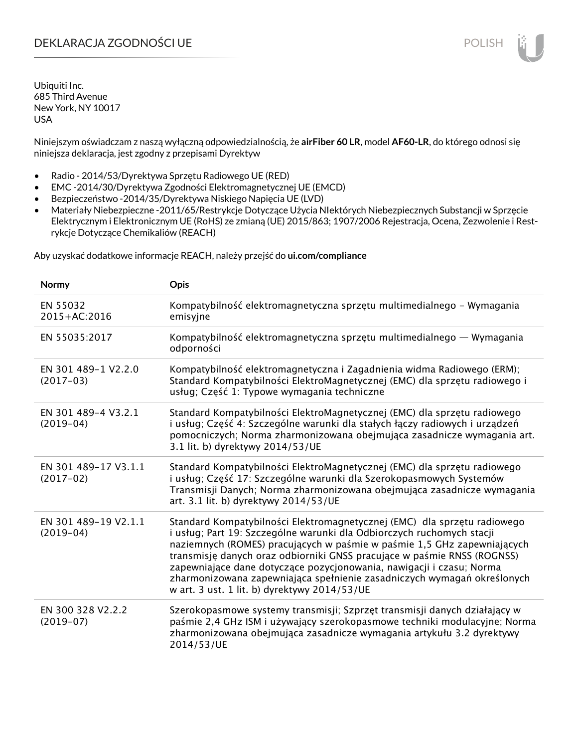## DEKLARACJA ZGODNOŚCI UE POLISH POLISH

Ubiquiti Inc. 685 Third Avenue New York, NY 10017 USA

Niniejszym oświadczam z naszą wyłączną odpowiedzialnością, że **airFiber 60 LR**, model **AF60-LR**, do którego odnosi się niniejsza deklaracja, jest zgodny z przepisami Dyrektyw

- Radio 2014/53/Dyrektywa Sprzętu Radiowego UE (RED)
- EMC -2014/30/Dyrektywa Zgodności Elektromagnetycznej UE (EMCD)
- Bezpieczeństwo -2014/35/Dyrektywa Niskiego Napięcia UE (LVD)
- Materiały Niebezpieczne -2011/65/Restrykcje Dotyczące Użycia NIektórych Niebezpiecznych Substancji w Sprzęcie Elektrycznym i Elektronicznym UE (RoHS) ze zmianą (UE) 2015/863; 1907/2006 Rejestracja, Ocena, Zezwolenie i Restrykcje Dotyczące Chemikaliów (REACH)

Aby uzyskać dodatkowe informacje REACH, należy przejść do **ui.com/compliance**

| Normy                               | <b>Opis</b>                                                                                                                                                                                                                                                                                                                                                                                                                                                                                                |
|-------------------------------------|------------------------------------------------------------------------------------------------------------------------------------------------------------------------------------------------------------------------------------------------------------------------------------------------------------------------------------------------------------------------------------------------------------------------------------------------------------------------------------------------------------|
| EN 55032<br>2015+AC:2016            | Kompatybilność elektromagnetyczna sprzętu multimedialnego – Wymagania<br>emisyjne                                                                                                                                                                                                                                                                                                                                                                                                                          |
| EN 55035:2017                       | Kompatybilność elektromagnetyczna sprzętu multimedialnego — Wymagania<br>odporności                                                                                                                                                                                                                                                                                                                                                                                                                        |
| EN 301 489-1 V2.2.0<br>$(2017-03)$  | Kompatybilność elektromagnetyczna i Zagadnienia widma Radiowego (ERM);<br>Standard Kompatybilności ElektroMagnetycznej (EMC) dla sprzętu radiowego i<br>usług; Część 1: Typowe wymagania techniczne                                                                                                                                                                                                                                                                                                        |
| EN 301 489-4 V3.2.1<br>$(2019-04)$  | Standard Kompatybilności ElektroMagnetycznej (EMC) dla sprzętu radiowego<br>i usług; Część 4: Szczególne warunki dla stałych łączy radiowych i urządzeń<br>pomocniczych; Norma zharmonizowana obejmująca zasadnicze wymagania art.<br>3.1 lit. b) dyrektywy 2014/53/UE                                                                                                                                                                                                                                     |
| EN 301 489-17 V3.1.1<br>$(2017-02)$ | Standard Kompatybilności ElektroMagnetycznej (EMC) dla sprzętu radiowego<br>i usług; Część 17: Szczególne warunki dla Szerokopasmowych Systemów<br>Transmisji Danych; Norma zharmonizowana obejmująca zasadnicze wymagania<br>art. 3.1 lit. b) dyrektywy 2014/53/UE                                                                                                                                                                                                                                        |
| EN 301 489-19 V2.1.1<br>$(2019-04)$ | Standard Kompatybilności Elektromagnetycznej (EMC) dla sprzętu radiowego<br>i usług; Part 19: Szczególne warunki dla Odbiorczych ruchomych stacji<br>naziemnych (ROMES) pracujących w paśmie w paśmie 1,5 GHz zapewniających<br>transmisję danych oraz odbiorniki GNSS pracujące w paśmie RNSS (ROGNSS)<br>zapewniające dane dotyczące pozycjonowania, nawigacji i czasu; Norma<br>zharmonizowana zapewniająca spełnienie zasadniczych wymagań określonych<br>w art. 3 ust. 1 lit. b) dyrektywy 2014/53/UE |
| EN 300 328 V2.2.2<br>$(2019-07)$    | Szerokopasmowe systemy transmisji; Szprzęt transmisji danych działający w<br>paśmie 2,4 GHz ISM i używający szerokopasmowe techniki modulacyjne; Norma<br>zharmonizowana obejmująca zasadnicze wymagania artykułu 3.2 dyrektywy<br>2014/53/UE                                                                                                                                                                                                                                                              |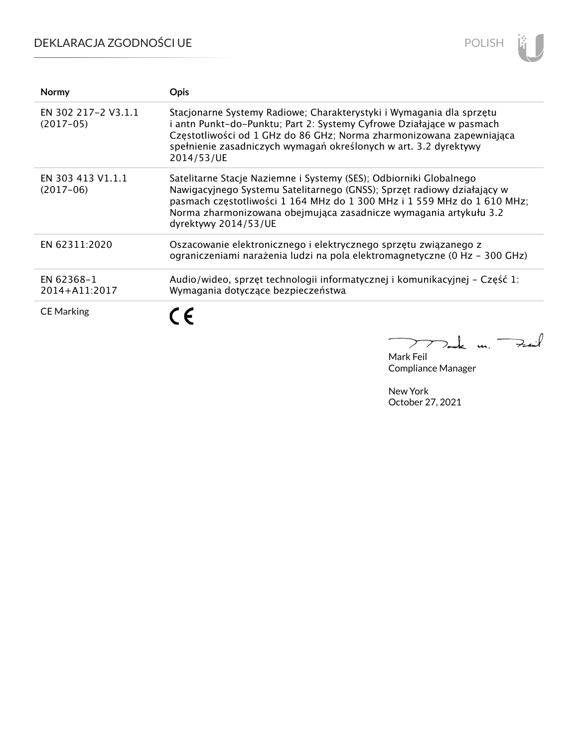# DEKLARACJA ZGODNOŚCI UE



| <b>Normy</b>                       | <b>Opis</b>                                                                                                                                                                                                                                                                                                           |
|------------------------------------|-----------------------------------------------------------------------------------------------------------------------------------------------------------------------------------------------------------------------------------------------------------------------------------------------------------------------|
| EN 302 217-2 V3.1.1<br>$(2017-05)$ | Stacjonarne Systemy Radiowe; Charakterystyki i Wymagania dla sprzętu<br>i antn Punkt-do-Punktu; Part 2: Systemy Cyfrowe Działające w pasmach<br>Częstotliwości od 1 GHz do 86 GHz; Norma zharmonizowana zapewniająca<br>spełnienie zasadniczych wymagań określonych w art. 3.2 dyrektywy<br>2014/53/UE                |
| EN 303 413 V1.1.1<br>$(2017-06)$   | Satelitarne Stacje Naziemne i Systemy (SES); Odbiorniki Globalnego<br>Nawigacyjnego Systemu Satelitarnego (GNSS); Sprzęt radiowy działający w<br>pasmach częstotliwości 1 164 MHz do 1 300 MHz i 1 559 MHz do 1 610 MHz;<br>Norma zharmonizowana obejmująca zasadnicze wymagania artykułu 3.2<br>dyrektywy 2014/53/UE |
| EN 62311:2020                      | Oszacowanie elektronicznego i elektrycznego sprzętu związanego z<br>ograniczeniami narażenia ludzi na pola elektromagnetyczne (0 Hz - 300 GHz)                                                                                                                                                                        |
| EN 62368-1<br>2014+A11:2017        | Audio/wideo, sprzęt technologii informatycznej i komunikacyjnej - Część 1:<br>Wymagania dotyczące bezpieczeństwa                                                                                                                                                                                                      |
| <b>CE Marking</b>                  |                                                                                                                                                                                                                                                                                                                       |

كمنه  $\mu$  $\sum$ 7.

Mark Feil Compliance Manager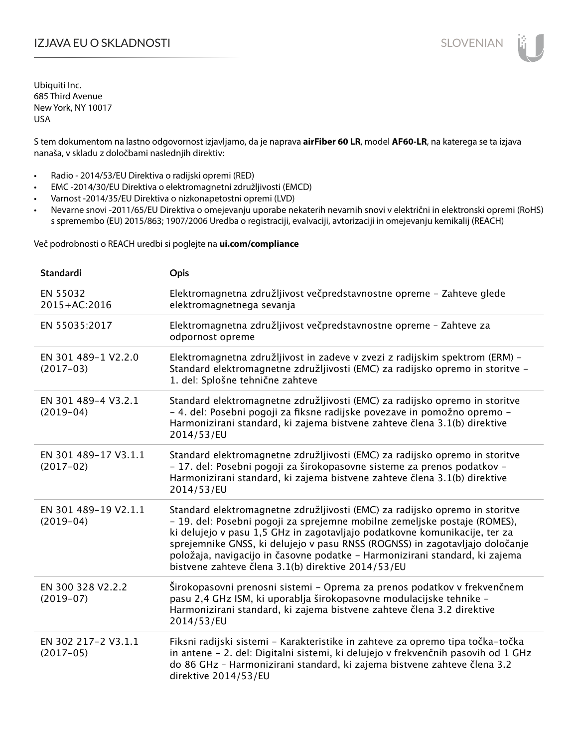# IZJAVA EU O SKLADNOSTI SLOVENIAN

Ubiquiti Inc. 685 Third Avenue New York, NY 10017 USA

S tem dokumentom na lastno odgovornost izjavljamo, da je naprava **airFiber 60 LR**, model **AF60-LR**, na katerega se ta izjava nanaša, v skladu z določbami naslednjih direktiv:

- Radio 2014/53/EU Direktiva o radijski opremi (RED)
- EMC -2014/30/EU Direktiva o elektromagnetni združljivosti (EMCD)
- Varnost -2014/35/EU Direktiva o nizkonapetostni opremi (LVD)
- Nevarne snovi -2011/65/EU Direktiva o omejevanju uporabe nekaterih nevarnih snovi v električni in elektronski opremi (RoHS) s spremembo (EU) 2015/863; 1907/2006 Uredba o registraciji, evalvaciji, avtorizaciji in omejevanju kemikalij (REACH)

Več podrobnosti o REACH uredbi si poglejte na **ui.com/compliance**

| <b>Standardi</b>                    | Opis                                                                                                                                                                                                                                                                                                                                                                                                                                                        |
|-------------------------------------|-------------------------------------------------------------------------------------------------------------------------------------------------------------------------------------------------------------------------------------------------------------------------------------------------------------------------------------------------------------------------------------------------------------------------------------------------------------|
| EN 55032<br>2015+AC:2016            | Elektromagnetna združljivost večpredstavnostne opreme - Zahteve glede<br>elektromagnetnega sevanja                                                                                                                                                                                                                                                                                                                                                          |
| EN 55035:2017                       | Elektromagnetna združljivost večpredstavnostne opreme - Zahteve za<br>odpornost opreme                                                                                                                                                                                                                                                                                                                                                                      |
| EN 301 489-1 V2.2.0<br>$(2017-03)$  | Elektromagnetna združljivost in zadeve v zvezi z radijskim spektrom (ERM) -<br>Standard elektromagnetne združljivosti (EMC) za radijsko opremo in storitve -<br>1. del: Splošne tehnične zahteve                                                                                                                                                                                                                                                            |
| EN 301 489-4 V3.2.1<br>$(2019-04)$  | Standard elektromagnetne združljivosti (EMC) za radijsko opremo in storitve<br>- 4. del: Posebni pogoji za fiksne radijske povezave in pomožno opremo -<br>Harmonizirani standard, ki zajema bistvene zahteve člena 3.1(b) direktive<br>2014/53/EU                                                                                                                                                                                                          |
| EN 301 489-17 V3.1.1<br>$(2017-02)$ | Standard elektromagnetne združljivosti (EMC) za radijsko opremo in storitve<br>- 17. del: Posebni pogoji za širokopasovne sisteme za prenos podatkov -<br>Harmonizirani standard, ki zajema bistvene zahteve člena 3.1(b) direktive<br>2014/53/EU                                                                                                                                                                                                           |
| EN 301 489-19 V2.1.1<br>$(2019-04)$ | Standard elektromagnetne združljivosti (EMC) za radijsko opremo in storitve<br>- 19. del: Posebni pogoji za sprejemne mobilne zemeljske postaje (ROMES),<br>ki delujejo v pasu 1,5 GHz in zagotavljajo podatkovne komunikacije, ter za<br>sprejemnike GNSS, ki delujejo v pasu RNSS (ROGNSS) in zagotavljajo določanje<br>položaja, navigacijo in časovne podatke – Harmonizirani standard, ki zajema<br>bistvene zahteve člena 3.1(b) direktive 2014/53/EU |
| EN 300 328 V2.2.2<br>$(2019-07)$    | Širokopasovni prenosni sistemi - Oprema za prenos podatkov v frekvenčnem<br>pasu 2,4 GHz ISM, ki uporablja širokopasovne modulacijske tehnike -<br>Harmonizirani standard, ki zajema bistvene zahteve člena 3.2 direktive<br>2014/53/EU                                                                                                                                                                                                                     |
| EN 302 217-2 V3.1.1<br>$(2017-05)$  | Fiksni radijski sistemi - Karakteristike in zahteve za opremo tipa točka-točka<br>in antene - 2. del: Digitalni sistemi, ki delujejo v frekvenčnih pasovih od 1 GHz<br>do 86 GHz - Harmonizirani standard, ki zajema bistvene zahteve člena 3.2<br>direktive 2014/53/EU                                                                                                                                                                                     |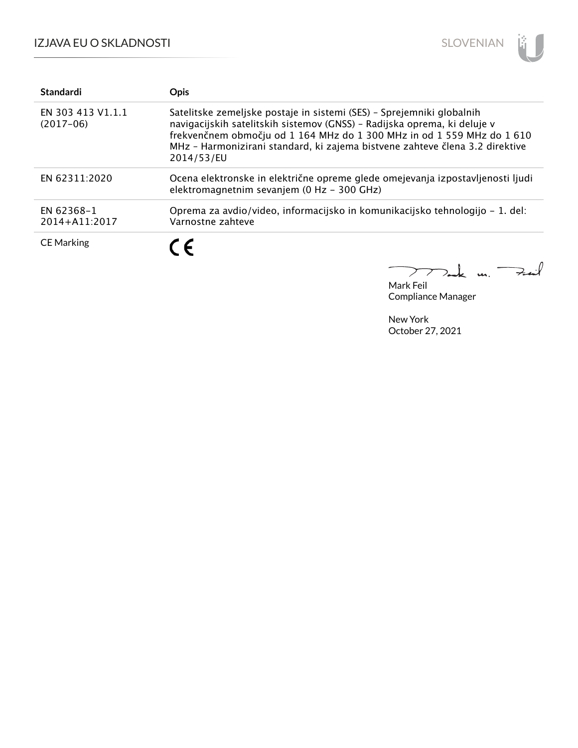

| <b>Standardi</b>                 | <b>Opis</b>                                                                                                                                                                                                                                                                                                               |
|----------------------------------|---------------------------------------------------------------------------------------------------------------------------------------------------------------------------------------------------------------------------------------------------------------------------------------------------------------------------|
| EN 303 413 V1.1.1<br>$(2017-06)$ | Satelitske zemeljske postaje in sistemi (SES) - Sprejemniki globalnih<br>navigacijskih satelitskih sistemov (GNSS) - Radijska oprema, ki deluje v<br>frekvenčnem območju od 1 164 MHz do 1 300 MHz in od 1 559 MHz do 1 610<br>MHz - Harmonizirani standard, ki zajema bistvene zahteve člena 3.2 direktive<br>2014/53/EU |
| EN 62311:2020                    | Ocena elektronske in električne opreme glede omejevanja izpostavljenosti ljudi<br>elektromagnetnim sevanjem (0 Hz - 300 GHz)                                                                                                                                                                                              |
| EN 62368-1<br>2014+A11:2017      | Oprema za avdio/video, informacijsko in komunikacijsko tehnologijo – 1. del:<br>Varnostne zahteve                                                                                                                                                                                                                         |
| <b>CE Marking</b>                | (F                                                                                                                                                                                                                                                                                                                        |

Mark Feil Compliance Manager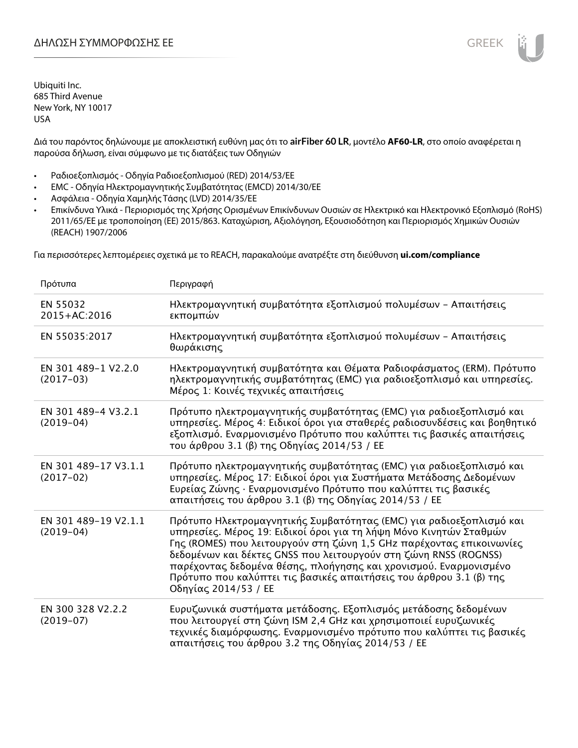Διά του παρόντος δηλώνουμε με αποκλειστική ευθύνη μας ότι το **airFiber 60 LR**, μοντέλο **AF60-LR**, στο οποίο αναφέρεται η παρούσα δήλωση, είναι σύμφωνο με τις διατάξεις των Οδηγιών

- Ραδιοεξοπλισμός Οδηγία Ραδιοεξοπλισμού (RED) 2014/53/ΕΕ
- EMC Οδηγία Ηλεκτρομαγνητικής Συμβατότητας (EMCD) 2014/30/ΕΕ
- Ασφάλεια Οδηγία Χαμηλής Τάσης (LVD) 2014/35/ΕΕ
- Επικίνδυνα Υλικά Περιορισμός της Χρήσης Ορισμένων Επικίνδυνων Ουσιών σε Ηλεκτρικό και Ηλεκτρονικό Εξοπλισμό (RoHS) 2011/65/ΕΕ με τροποποίηση (ΕΕ) 2015/863. Καταχώριση, Αξιολόγηση, Εξουσιοδότηση και Περιορισμός Χημικών Ουσιών (REACH) 1907/2006

Για περισσότερες λεπτομέρειες σχετικά με το REACH, παρακαλούμε ανατρέξτε στη διεύθυνση **ui.com/compliance**

| Πρότυπα                             | Περιγραφή                                                                                                                                                                                                                                                                                                                                                                                                                                                |
|-------------------------------------|----------------------------------------------------------------------------------------------------------------------------------------------------------------------------------------------------------------------------------------------------------------------------------------------------------------------------------------------------------------------------------------------------------------------------------------------------------|
| EN 55032<br>2015+AC:2016            | Ηλεκτρομαγνητική συμβατότητα εξοπλισμού πολυμέσων - Απαιτήσεις<br>εκπομπών                                                                                                                                                                                                                                                                                                                                                                               |
| EN 55035:2017                       | Ηλεκτρομαγνητική συμβατότητα εξοπλισμού πολυμέσων - Απαιτήσεις<br>θωράκισης                                                                                                                                                                                                                                                                                                                                                                              |
| EN 301 489-1 V2.2.0<br>$(2017-03)$  | Ηλεκτρομαγνητική συμβατότητα και Θέματα Ραδιοφάσματος (ERM). Πρότυπο<br>ηλεκτρομαγνητικής συμβατότητας (EMC) για ραδιοεξοπλισμό και υπηρεσίες.<br>Μέρος 1: Κοινές τεχνικές απαιτήσεις                                                                                                                                                                                                                                                                    |
| EN 301 489-4 V3.2.1<br>$(2019-04)$  | Πρότυπο ηλεκτρομαγνητικής συμβατότητας (ΕΜC) για ραδιοεξοπλισμό και<br>υπηρεσίες. Μέρος 4: Ειδικοί όροι για σταθερές ραδιοσυνδέσεις και βοηθητικό<br>εξοπλισμό. Εναρμονισμένο Πρότυπο που καλύπτει τις βασικές απαιτήσεις<br>του άρθρου 3.1 (β) της Οδηγίας 2014/53 / ΕΕ                                                                                                                                                                                 |
| EN 301 489-17 V3.1.1<br>$(2017-02)$ | Πρότυπο ηλεκτρομαγνητικής συμβατότητας (ΕΜC) για ραδιοεξοπλισμό και<br>υπηρεσίες. Μέρος 17: Ειδικοί όροι για Συστήματα Μετάδοσης Δεδομένων<br>Ευρείας Ζώνης · Εναρμονισμένο Πρότυπο που καλύπτει τις βασικές<br>απαιτήσεις του άρθρου 3.1 (β) της Οδηγίας 2014/53 / ΕΕ                                                                                                                                                                                   |
| EN 301 489-19 V2.1.1<br>$(2019-04)$ | Πρότυπο Ηλεκτρομαγνητικής Συμβατότητας (ΕΜC) για ραδιοεξοπλισμό και<br>υπηρεσίες. Μέρος 19: Ειδικοί όροι για τη λήψη Μόνο Κινητών Σταθμών<br>Γης (ROMES) που λειτουργούν στη ζώνη 1,5 GHz παρέχοντας επικοινωνίες<br>δεδομένων και δέκτες GNSS που λειτουργούν στη ζώνη RNSS (ROGNSS)<br>παρέχοντας δεδομένα θέσης, πλοήγησης και χρονισμού. Εναρμονισμένο<br>Πρότυπο που καλύπτει τις βασικές απαιτήσεις του άρθρου 3.1 (β) της<br>Οδηγίας 2014/53 / ΕΕ |
| EN 300 328 V2.2.2<br>$(2019-07)$    | Ευρυζωνικά συστήματα μετάδοσης. Εξοπλισμός μετάδοσης δεδομένων<br>που λειτουργεί στη ζώνη ISM 2,4 GHz και χρησιμοποιεί ευρυζωνικές<br>τεχνικές διαμόρφωσης. Εναρμονισμένο πρότυπο που καλύπτει τις βασικές<br>απαιτήσεις του άρθρου 3.2 της Οδηγίας 2014/53 / ΕΕ                                                                                                                                                                                         |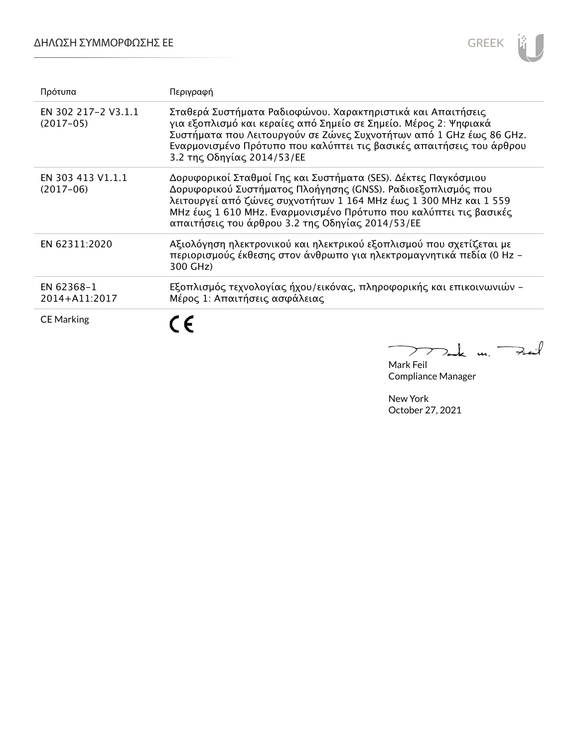

| Πρότυπα                            | Περιγραφή                                                                                                                                                                                                                                                                                                                    |
|------------------------------------|------------------------------------------------------------------------------------------------------------------------------------------------------------------------------------------------------------------------------------------------------------------------------------------------------------------------------|
| EN 302 217-2 V3.1.1<br>$(2017-05)$ | Σταθερά Συστήματα Ραδιοφώνου. Χαρακτηριστικά και Απαιτήσεις<br>για εξοπλισμό και κεραίες από Σημείο σε Σημείο. Μέρος 2: Ψηφιακά<br>Συστήματα που Λειτουργούν σε Ζώνες Συχνοτήτων από 1 GHz έως 86 GHz.<br>Εναρμονισμένο Πρότυπο που καλύπτει τις βασικές απαιτήσεις του άρθρου<br>3.2 της Οδηγίας 2014/53/ΕΕ                 |
| EN 303 413 V1.1.1<br>$(2017-06)$   | Δορυφορικοί Σταθμοί Γης και Συστήματα (SES). Δέκτες Παγκόσμιου<br>Δορυφορικού Συστήματος Πλοήγησης (GNSS). Ραδιοεξοπλισμός που<br>λειτουργεί από ζώνες συχνοτήτων 1 164 MHz έως 1 300 MHz και 1 559<br>MHz έως 1 610 MHz. Εναρμονισμένο Πρότυπο που καλύπτει τις βασικές<br>απαιτήσεις του άρθρου 3.2 της Οδηγίας 2014/53/ΕΕ |
| EN 62311:2020                      | Αξιολόγηση ηλεκτρονικού και ηλεκτρικού εξοπλισμού που σχετίζεται με<br>περιορισμούς έκθεσης στον άνθρωπο για ηλεκτρομαγνητικά πεδία (0 Hz -<br>300 GHz)                                                                                                                                                                      |
| EN 62368-1<br>2014+A11:2017        | Εξοπλισμός τεχνολογίας ήχου/εικόνας, πληροφορικής και επικοινωνιών -<br>Μέρος 1: Απαιτήσεις ασφάλειας                                                                                                                                                                                                                        |
| <b>CE Marking</b>                  |                                                                                                                                                                                                                                                                                                                              |

Mark Feil<br>Mark Feil Compliance Manager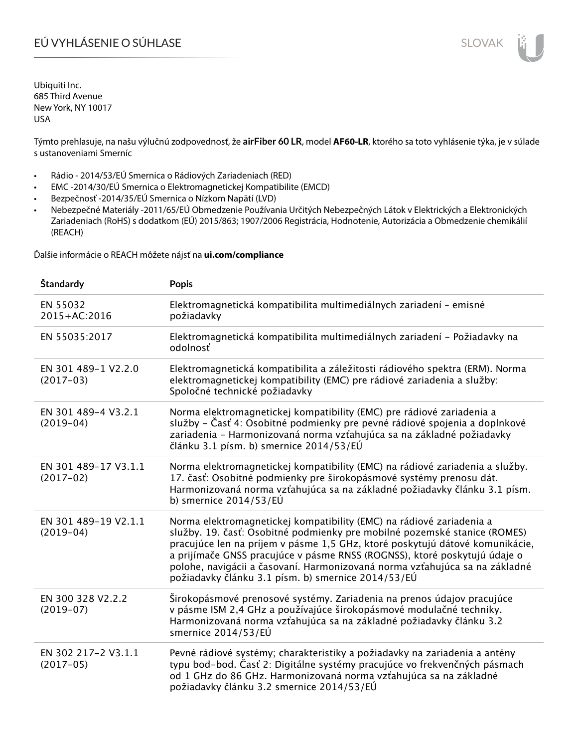# EÚ VYHLÁSENIE O SÚHLASE SLOVAK SLOVAK

Ubiquiti Inc. 685 Third Avenue New York, NY 10017 USA

Týmto prehlasuje, na našu výlučnú zodpovednosť, že **airFiber 60 LR**, model **AF60-LR**, ktorého sa toto vyhlásenie týka, je v súlade s ustanoveniami Smerníc

- Rádio 2014/53/EÚ Smernica o Rádiových Zariadeniach (RED)
- EMC -2014/30/EÚ Smernica o Elektromagnetickej Kompatibilite (EMCD)
- Bezpečnosť -2014/35/EÚ Smernica o Nízkom Napätí (LVD)
- Nebezpečné Materiály -2011/65/EÚ Obmedzenie Používania Určitých Nebezpečných Látok v Elektrických a Elektronických Zariadeniach (RoHS) s dodatkom (EÚ) 2015/863; 1907/2006 Registrácia, Hodnotenie, Autorizácia a Obmedzenie chemikálií (REACH)

Ďalšie informácie o REACH môžete nájsť na **ui.com/compliance**

| Štandardy                           | <b>Popis</b>                                                                                                                                                                                                                                                                                                                                                                                                                                        |
|-------------------------------------|-----------------------------------------------------------------------------------------------------------------------------------------------------------------------------------------------------------------------------------------------------------------------------------------------------------------------------------------------------------------------------------------------------------------------------------------------------|
| EN 55032<br>2015+AC:2016            | Elektromagnetická kompatibilita multimediálnych zariadení - emisné<br>požiadavky                                                                                                                                                                                                                                                                                                                                                                    |
| EN 55035:2017                       | Elektromagnetická kompatibilita multimediálnych zariadení - Požiadavky na<br>odolnosť                                                                                                                                                                                                                                                                                                                                                               |
| EN 301 489-1 V2.2.0<br>$(2017-03)$  | Elektromagnetická kompatibilita a záležitosti rádiového spektra (ERM). Norma<br>elektromagnetickej kompatibility (EMC) pre rádiové zariadenia a služby:<br>Spoločné technické požiadavky                                                                                                                                                                                                                                                            |
| EN 301 489-4 V3.2.1<br>$(2019-04)$  | Norma elektromagnetickej kompatibility (EMC) pre rádiové zariadenia a<br>služby – Časť 4: Osobitné podmienky pre pevné rádiové spojenia a doplnkové<br>zariadenia - Harmonizovaná norma vzťahujúca sa na základné požiadavky<br>článku 3.1 písm. b) smernice 2014/53/EÚ                                                                                                                                                                             |
| EN 301 489-17 V3.1.1<br>$(2017-02)$ | Norma elektromagnetickej kompatibility (EMC) na rádiové zariadenia a služby.<br>17. časť: Osobitné podmienky pre širokopásmové systémy prenosu dát.<br>Harmonizovaná norma vzťahujúca sa na základné požiadavky článku 3.1 písm.<br>b) smernice $2014/53/EU$                                                                                                                                                                                        |
| EN 301 489-19 V2.1.1<br>$(2019-04)$ | Norma elektromagnetickej kompatibility (EMC) na rádiové zariadenia a<br>služby. 19. časť: Osobitné podmienky pre mobilné pozemské stanice (ROMES)<br>pracujúce len na príjem v pásme 1,5 GHz, ktoré poskytujú dátové komunikácie,<br>a prijímače GNSS pracujúce v pásme RNSS (ROGNSS), ktoré poskytujú údaje o<br>polohe, navigácii a časovaní. Harmonizovaná norma vzťahujúca sa na základné<br>požiadavky článku 3.1 písm. b) smernice 2014/53/EÚ |
| EN 300 328 V2.2.2<br>$(2019-07)$    | Širokopásmové prenosové systémy. Zariadenia na prenos údajov pracujúce<br>v pásme ISM 2,4 GHz a používajúce širokopásmové modulačné techniky.<br>Harmonizovaná norma vzťahujúca sa na základné požiadavky článku 3.2<br>smernice 2014/53/EÚ                                                                                                                                                                                                         |
| EN 302 217-2 V3.1.1<br>$(2017-05)$  | Pevné rádiové systémy; charakteristiky a požiadavky na zariadenia a antény<br>typu bod-bod. Časť 2: Digitálne systémy pracujúce vo frekvenčných pásmach<br>od 1 GHz do 86 GHz. Harmonizovaná norma vzťahujúca sa na základné<br>požiadavky článku 3.2 smernice 2014/53/EÚ                                                                                                                                                                           |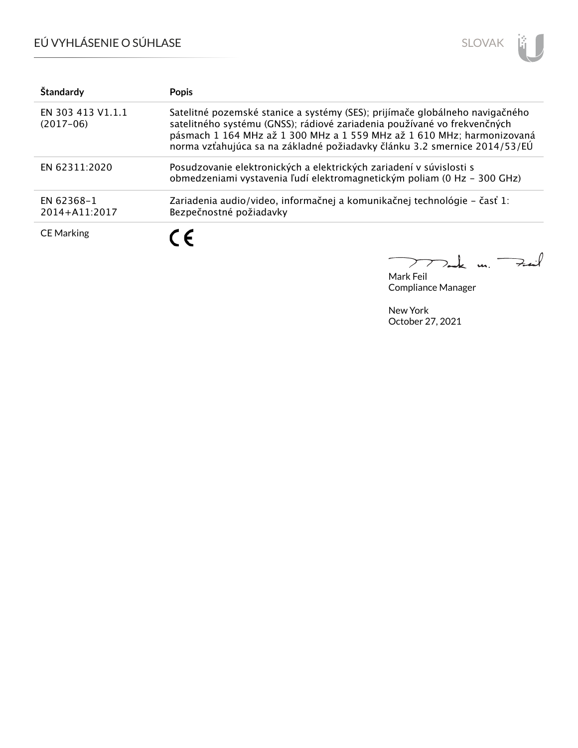# EÚ VYHLÁSENIE O SÚHLASE



| Štandardy                        | <b>Popis</b>                                                                                                                                                                                                                                                                                                    |
|----------------------------------|-----------------------------------------------------------------------------------------------------------------------------------------------------------------------------------------------------------------------------------------------------------------------------------------------------------------|
| EN 303 413 V1.1.1<br>$(2017-06)$ | Satelitné pozemské stanice a systémy (SES); prijímače globálneho navigačného<br>satelitného systému (GNSS); rádiové zariadenia používané vo frekvenčných<br>pásmach 1 164 MHz až 1 300 MHz a 1 559 MHz až 1 610 MHz; harmonizovaná<br>norma vzťahujúca sa na základné požiadavky článku 3.2 smernice 2014/53/EÚ |
| EN 62311:2020                    | Posudzovanie elektronických a elektrických zariadení v súvislosti s<br>obmedzeniami vystavenia ľudí elektromagnetickým poliam (0 Hz - 300 GHz)                                                                                                                                                                  |
| EN 62368-1<br>2014+A11:2017      | Zariadenia audio/video, informačnej a komunikačnej technológie – časť 1:<br>Bezpečnostné požiadavky                                                                                                                                                                                                             |
| <b>CE Marking</b>                | $\epsilon$                                                                                                                                                                                                                                                                                                      |

Tak m. Fail  $\mathcal{P}$ Mark Feil

Compliance Manager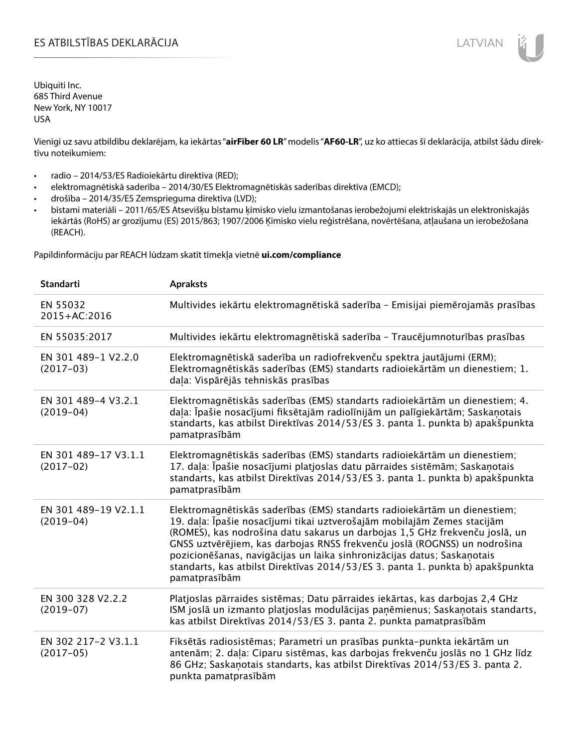## ES ATBILSTĪBAS DEKLARĀCIJA LATVIAN

Ubiquiti Inc. 685 Third Avenue New York, NY 10017 USA

Vienīgi uz savu atbildību deklarējam, ka iekārtas "**airFiber 60 LR**" modelis "**AF60-LR**", uz ko attiecas šī deklarācija, atbilst šādu direktīvu noteikumiem:

- radio 2014/53/ES Radioiekārtu direktīva (RED);
- elektromagnētiskā saderība 2014/30/ES Elektromagnētiskās saderības direktīva (EMCD);
- drošība 2014/35/ES Zemsprieguma direktīva (LVD);
- bīstami materiāli 2011/65/ES Atsevišķu bīstamu ķīmisko vielu izmantošanas ierobežojumi elektriskajās un elektroniskajās iekārtās (RoHS) ar grozījumu (ES) 2015/863; 1907/2006 Ķīmisko vielu reģistrēšana, novērtēšana, atļaušana un ierobežošana (REACH).

Papildinformāciju par REACH lūdzam skatīt tīmekļa vietnē **ui.com/compliance**

| <b>Standarti</b>                    | <b>Apraksts</b>                                                                                                                                                                                                                                                                                                                                                                                                                                                                                |
|-------------------------------------|------------------------------------------------------------------------------------------------------------------------------------------------------------------------------------------------------------------------------------------------------------------------------------------------------------------------------------------------------------------------------------------------------------------------------------------------------------------------------------------------|
| EN 55032<br>2015+AC:2016            | Multivides iekārtu elektromagnētiskā saderība - Emisijai piemērojamās prasības                                                                                                                                                                                                                                                                                                                                                                                                                 |
| EN 55035:2017                       | Multivides iekārtu elektromagnētiskā saderība - Traucējumnoturības prasības                                                                                                                                                                                                                                                                                                                                                                                                                    |
| EN 301 489-1 V2.2.0<br>$(2017-03)$  | Elektromagnētiskā saderība un radiofrekvenču spektra jautājumi (ERM);<br>Elektromagnētiskās saderības (EMS) standarts radioiekārtām un dienestiem; 1.<br>daļa: Vispārējās tehniskās prasības                                                                                                                                                                                                                                                                                                   |
| EN 301 489-4 V3.2.1<br>$(2019-04)$  | Elektromagnētiskās saderības (EMS) standarts radioiekārtām un dienestiem; 4.<br>daļa: Īpašie nosacījumi fiksētajām radiolīnijām un palīgiekārtām; Saskaņotais<br>standarts, kas atbilst Direktīvas 2014/53/ES 3. panta 1. punkta b) apakšpunkta<br>pamatprasībām                                                                                                                                                                                                                               |
| EN 301 489-17 V3.1.1<br>$(2017-02)$ | Elektromagnētiskās saderības (EMS) standarts radioiekārtām un dienestiem;<br>17. daļa: Īpašie nosacījumi platjoslas datu pārraides sistēmām; Saskaņotais<br>standarts, kas atbilst Direktīvas 2014/53/ES 3. panta 1. punkta b) apakšpunkta<br>pamatprasībām                                                                                                                                                                                                                                    |
| EN 301 489-19 V2.1.1<br>$(2019-04)$ | Elektromagnētiskās saderības (EMS) standarts radioiekārtām un dienestiem;<br>19. daļa: Īpašie nosacījumi tikai uztverošajām mobilajām Zemes stacijām<br>(ROMES), kas nodrošina datu sakarus un darbojas 1,5 GHz frekvenču joslā, un<br>GNSS uztvērējiem, kas darbojas RNSS frekvenču joslā (ROGNSS) un nodrošina<br>pozicionēšanas, navigācijas un laika sinhronizācijas datus; Saskaņotais<br>standarts, kas atbilst Direktīvas 2014/53/ES 3. panta 1. punkta b) apakšpunkta<br>pamatprasībām |
| EN 300 328 V2.2.2<br>$(2019-07)$    | Platjoslas pārraides sistēmas; Datu pārraides iekārtas, kas darbojas 2,4 GHz<br>ISM joslā un izmanto platjoslas modulācijas paņēmienus; Saskaņotais standarts,<br>kas atbilst Direktīvas 2014/53/ES 3. panta 2. punkta pamatprasībām                                                                                                                                                                                                                                                           |
| EN 302 217-2 V3.1.1<br>$(2017-05)$  | Fiksētās radiosistēmas; Parametri un prasības punkta-punkta iekārtām un<br>antenām; 2. daļa: Ciparu sistēmas, kas darbojas frekvenču joslās no 1 GHz līdz<br>86 GHz; Saskaņotais standarts, kas atbilst Direktīvas 2014/53/ES 3. panta 2.<br>punkta pamatprasībām                                                                                                                                                                                                                              |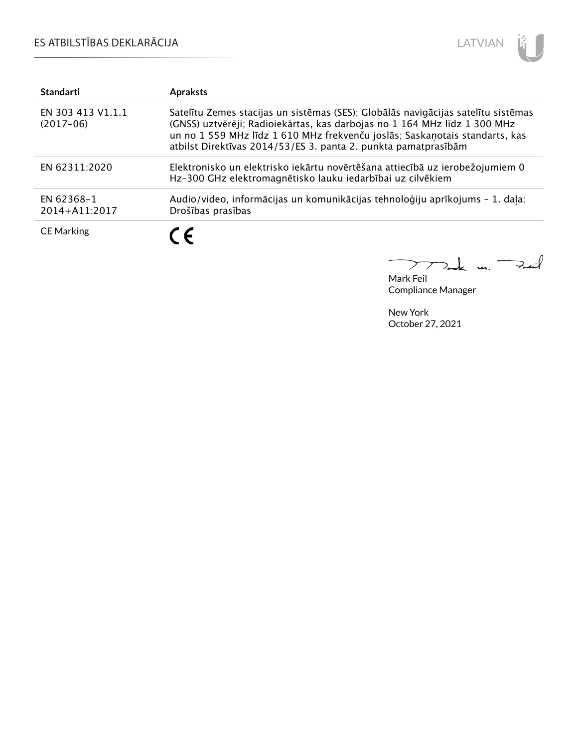## ES ATBILSTĪBAS DEKLARĀCIJA



| <b>Standarti</b>                 | <b>Apraksts</b>                                                                                                                                                                                                                                                                                                 |
|----------------------------------|-----------------------------------------------------------------------------------------------------------------------------------------------------------------------------------------------------------------------------------------------------------------------------------------------------------------|
| EN 303 413 V1.1.1<br>$(2017-06)$ | Satelītu Zemes stacijas un sistēmas (SES); Globālās navigācijas satelītu sistēmas<br>(GNSS) uztvērēji; Radioiekārtas, kas darbojas no 1 164 MHz līdz 1 300 MHz<br>un no 1 559 MHz līdz 1 610 MHz frekvenču joslās; Saskaņotais standarts, kas<br>atbilst Direktīvas 2014/53/ES 3. panta 2. punkta pamatprasībām |
| EN 62311:2020                    | Elektronisko un elektrisko iekārtu novērtēšana attiecībā uz ierobežojumiem 0<br>Hz-300 GHz elektromagnētisko lauku iedarbībai uz cilvēkiem                                                                                                                                                                      |
| EN 62368-1<br>2014+A11:2017      | Audio/video, informācijas un komunikācijas tehnoloģiju aprīkojums - 1. daļa:<br>Drošības prasības                                                                                                                                                                                                               |
| <b>CE Marking</b>                | C E                                                                                                                                                                                                                                                                                                             |

 $\textbf{k}$  m. Fail  $\overline{a}$  $\triangleright$ 

Mark Feil Compliance Manager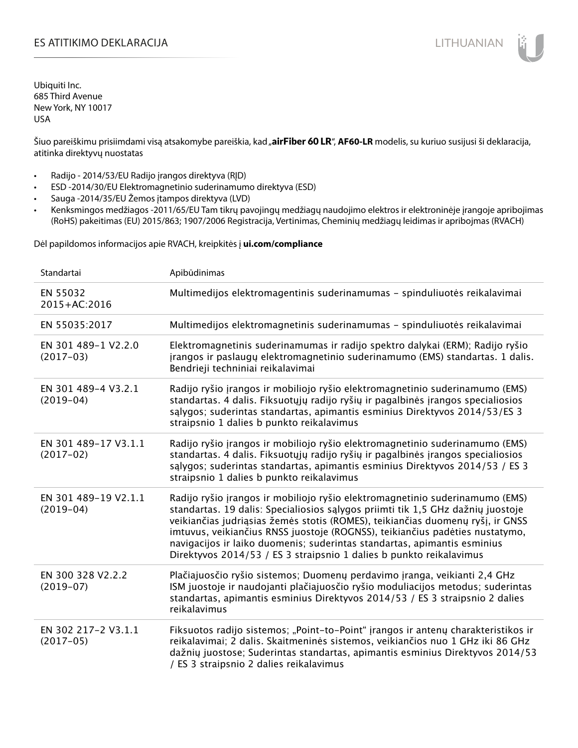## ES ATITIKIMO DEKLARACIJA NA SATITIKIMO DEKLARACIJA NA SATITIKIMO DE SATITIKIMO DE KLARACIJA NA SATITIKIMO DE KLA

Ubiquiti Inc. 685 Third Avenue New York, NY 10017 USA

Šiuo pareiškimu prisiimdami visą atsakomybe pareiškia, kad "airFiber 60 LR", AF60-LR modelis, su kuriuo susijusi ši deklaracija, atitinka direktyvų nuostatas

- Radijo 2014/53/EU Radijo įrangos direktyva (RĮD)
- ESD -2014/30/EU Elektromagnetinio suderinamumo direktyva (ESD)
- Sauga -2014/35/EU Žemos įtampos direktyva (LVD)
- Kenksmingos medžiagos -2011/65/EU Tam tikrų pavojingų medžiagų naudojimo elektros ir elektroninėje įrangoje apribojimas (RoHS) pakeitimas (EU) 2015/863; 1907/2006 Registracija, Vertinimas, Cheminių medžiagų leidimas ir apribojmas (RVACH)

Dėl papildomos informacijos apie RVACH, kreipkitės į **ui.com/compliance**

| Standartai                          | Apibūdinimas                                                                                                                                                                                                                                                                                                                                                                                                                                                                         |
|-------------------------------------|--------------------------------------------------------------------------------------------------------------------------------------------------------------------------------------------------------------------------------------------------------------------------------------------------------------------------------------------------------------------------------------------------------------------------------------------------------------------------------------|
| EN 55032<br>2015+AC:2016            | Multimedijos elektromagentinis suderinamumas - spinduliuotės reikalavimai                                                                                                                                                                                                                                                                                                                                                                                                            |
| EN 55035:2017                       | Multimedijos elektromagnetinis suderinamumas - spinduliuotės reikalavimai                                                                                                                                                                                                                                                                                                                                                                                                            |
| EN 301 489-1 V2.2.0<br>$(2017-03)$  | Elektromagnetinis suderinamumas ir radijo spektro dalykai (ERM); Radijo ryšio<br>įrangos ir paslaugų elektromagnetinio suderinamumo (EMS) standartas. 1 dalis.<br>Bendrieji techniniai reikalavimai                                                                                                                                                                                                                                                                                  |
| EN 301 489-4 V3.2.1<br>$(2019-04)$  | Radijo ryšio įrangos ir mobiliojo ryšio elektromagnetinio suderinamumo (EMS)<br>standartas. 4 dalis. Fiksuotųjų radijo ryšių ir pagalbinės įrangos specialiosios<br>sąlygos; suderintas standartas, apimantis esminius Direktyvos 2014/53/ES 3<br>straipsnio 1 dalies b punkto reikalavimus                                                                                                                                                                                          |
| EN 301 489-17 V3.1.1<br>$(2017-02)$ | Radijo ryšio įrangos ir mobiliojo ryšio elektromagnetinio suderinamumo (EMS)<br>standartas. 4 dalis. Fiksuotųjų radijo ryšių ir pagalbinės įrangos specialiosios<br>salygos; suderintas standartas, apimantis esminius Direktyvos 2014/53 / ES 3<br>straipsnio 1 dalies b punkto reikalavimus                                                                                                                                                                                        |
| EN 301 489-19 V2.1.1<br>$(2019-04)$ | Radijo ryšio įrangos ir mobiliojo ryšio elektromagnetinio suderinamumo (EMS)<br>standartas. 19 dalis: Specialiosios sąlygos priimti tik 1,5 GHz dažnių juostoje<br>veikiančias judriąsias žemės stotis (ROMES), teikiančias duomenų ryšį, ir GNSS<br>imtuvus, veikiančius RNSS juostoje (ROGNSS), teikiančius padėties nustatymo,<br>navigacijos ir laiko duomenis; suderintas standartas, apimantis esminius<br>Direktyvos 2014/53 / ES 3 straipsnio 1 dalies b punkto reikalavimus |
| EN 300 328 V2.2.2<br>$(2019-07)$    | Plačiajuosčio ryšio sistemos; Duomenų perdavimo įranga, veikianti 2,4 GHz<br>ISM juostoje ir naudojanti plačiajuosčio ryšio moduliacijos metodus; suderintas<br>standartas, apimantis esminius Direktyvos 2014/53 / ES 3 straipsnio 2 dalies<br>reikalavimus                                                                                                                                                                                                                         |
| EN 302 217-2 V3.1.1<br>$(2017-05)$  | Fiksuotos radijo sistemos; "Point-to-Point" įrangos ir antenų charakteristikos ir<br>reikalavimai; 2 dalis. Skaitmeninės sistemos, veikiančios nuo 1 GHz iki 86 GHz<br>dažnių juostose; Suderintas standartas, apimantis esminius Direktyvos 2014/53<br>/ ES 3 straipsnio 2 dalies reikalavimus                                                                                                                                                                                      |